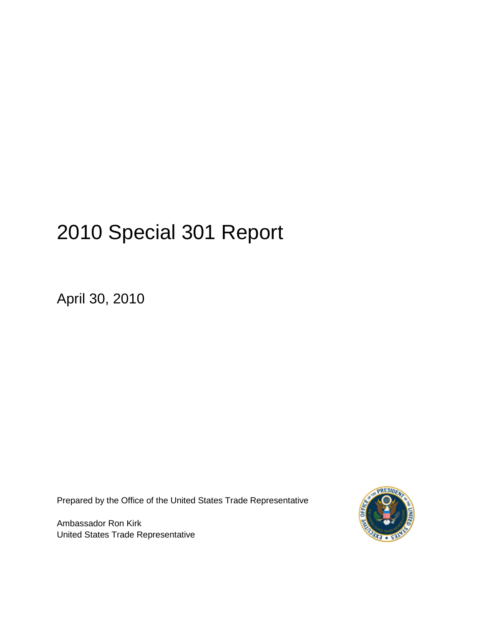# 2010 Special 301 Report

April 30, 2010

Prepared by the Office of the United States Trade Representative

Ambassador Ron Kirk United States Trade Representative

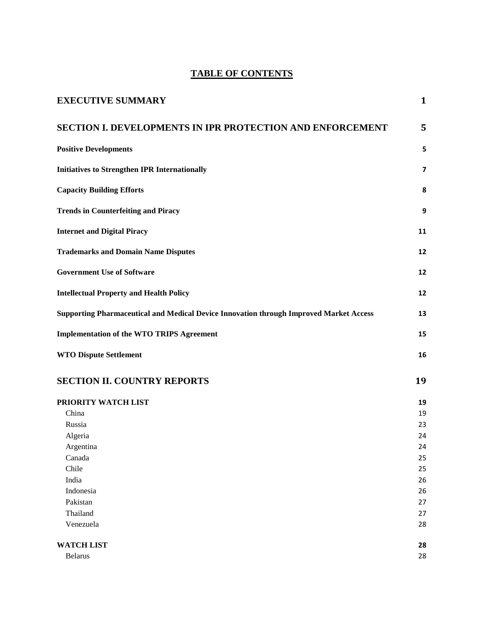# **TABLE OF CONTENTS**

| <b>EXECUTIVE SUMMARY</b>                                                                      | $\mathbf{1}$ |
|-----------------------------------------------------------------------------------------------|--------------|
| <b>SECTION I. DEVELOPMENTS IN IPR PROTECTION AND ENFORCEMENT</b>                              | 5            |
| <b>Positive Developments</b>                                                                  | 5            |
| <b>Initiatives to Strengthen IPR Internationally</b>                                          | 7            |
| <b>Capacity Building Efforts</b>                                                              | 8            |
| <b>Trends in Counterfeiting and Piracy</b>                                                    | 9            |
| <b>Internet and Digital Piracy</b>                                                            | 11           |
| <b>Trademarks and Domain Name Disputes</b>                                                    | 12           |
| <b>Government Use of Software</b>                                                             | 12           |
| <b>Intellectual Property and Health Policy</b>                                                | 12           |
| <b>Supporting Pharmaceutical and Medical Device Innovation through Improved Market Access</b> | 13           |
| <b>Implementation of the WTO TRIPS Agreement</b>                                              | 15           |
| <b>WTO Dispute Settlement</b>                                                                 | 16           |
| <b>SECTION II. COUNTRY REPORTS</b>                                                            | 19           |
| PRIORITY WATCH LIST                                                                           | 19           |
| China                                                                                         | 19           |
| Russia                                                                                        | 23           |
| Algeria                                                                                       | 24           |
| Argentina                                                                                     | 24           |
| Canada<br>Chile                                                                               | 25<br>25     |
| India                                                                                         | 26           |
| Indonesia                                                                                     | 26           |
| Pakistan                                                                                      | 27           |
| Thailand                                                                                      | 27           |
| Venezuela                                                                                     | 28           |
| <b>WATCH LIST</b>                                                                             | 28           |
| <b>Belarus</b>                                                                                | 28           |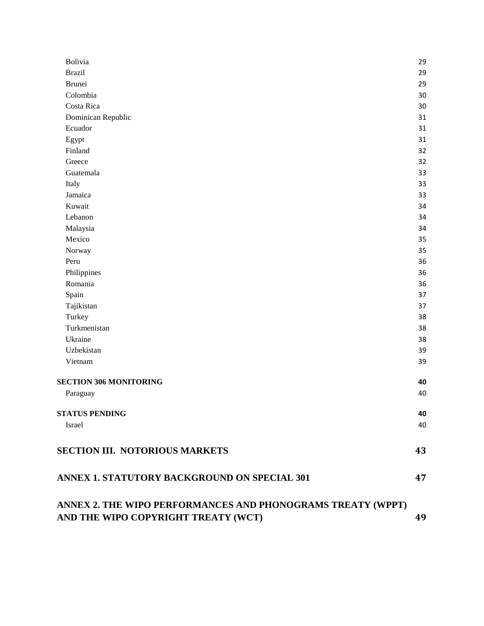| ANNEX 2. THE WIPO PERFORMANCES AND PHONOGRAMS TREATY (WPPT)<br>AND THE WIPO COPYRIGHT TREATY (WCT) | 49       |
|----------------------------------------------------------------------------------------------------|----------|
| <b>ANNEX 1. STATUTORY BACKGROUND ON SPECIAL 301</b>                                                | 47       |
| <b>SECTION III. NOTORIOUS MARKETS</b>                                                              |          |
| Israel                                                                                             | 40       |
| <b>STATUS PENDING</b>                                                                              | 40       |
|                                                                                                    |          |
| Paraguay                                                                                           | 40       |
| <b>SECTION 306 MONITORING</b>                                                                      | 40       |
|                                                                                                    |          |
| Vietnam                                                                                            | 39       |
| Uzbekistan                                                                                         | 39       |
| Ukraine                                                                                            | 38       |
| Turkmenistan                                                                                       | 38       |
| Tajikistan<br>Turkey                                                                               | 38       |
| Spain                                                                                              | 37       |
|                                                                                                    | 36<br>37 |
| Philippines<br>Romania                                                                             | 36       |
| Peru                                                                                               | 36       |
| Norway                                                                                             | 35       |
| Mexico                                                                                             | 35       |
| Malaysia                                                                                           | 34       |
| Lebanon                                                                                            | 34       |
| Kuwait                                                                                             | 34       |
| Jamaica                                                                                            | 33       |
| Italy                                                                                              | 33       |
| Guatemala                                                                                          | 33       |
| Greece                                                                                             | 32       |
| Finland                                                                                            | 32       |
| Egypt                                                                                              | 31       |
| Ecuador                                                                                            | 31       |
| Dominican Republic                                                                                 | 31       |
| Costa Rica                                                                                         | 30       |
| Colombia                                                                                           | 30       |
| <b>Brunei</b>                                                                                      | 29       |
| <b>Brazil</b>                                                                                      | 29       |
| Bolivia                                                                                            | 29       |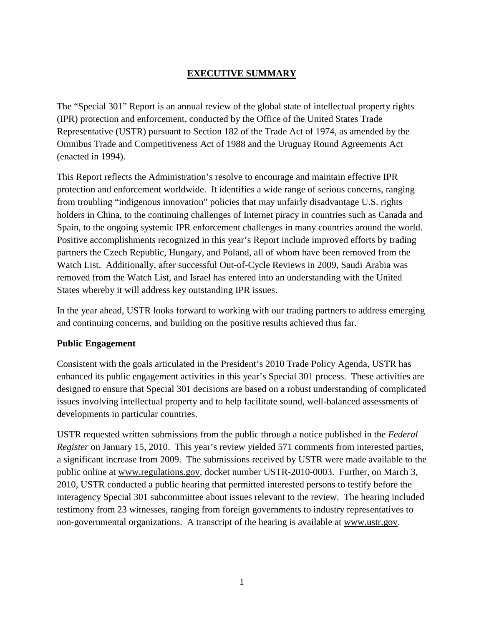# **EXECUTIVE SUMMARY**

<span id="page-4-0"></span>The "Special 301" Report is an annual review of the global state of intellectual property rights (IPR) protection and enforcement, conducted by the Office of the United States Trade Representative (USTR) pursuant to Section 182 of the Trade Act of 1974, as amended by the Omnibus Trade and Competitiveness Act of 1988 and the Uruguay Round Agreements Act (enacted in 1994).

This Report reflects the Administration's resolve to encourage and maintain effective IPR protection and enforcement worldwide. It identifies a wide range of serious concerns, ranging from troubling "indigenous innovation" policies that may unfairly disadvantage U.S. rights holders in China, to the continuing challenges of Internet piracy in countries such as Canada and Spain, to the ongoing systemic IPR enforcement challenges in many countries around the world. Positive accomplishments recognized in this year's Report include improved efforts by trading partners the Czech Republic, Hungary, and Poland, all of whom have been removed from the Watch List. Additionally, after successful Out-of-Cycle Reviews in 2009, Saudi Arabia was removed from the Watch List, and Israel has entered into an understanding with the United States whereby it will address key outstanding IPR issues.

In the year ahead, USTR looks forward to working with our trading partners to address emerging and continuing concerns, and building on the positive results achieved thus far.

# **Public Engagement**

Consistent with the goals articulated in the President's 2010 Trade Policy Agenda, USTR has enhanced its public engagement activities in this year's Special 301 process. These activities are designed to ensure that Special 301 decisions are based on a robust understanding of complicated issues involving intellectual property and to help facilitate sound, well-balanced assessments of developments in particular countries.

USTR requested written submissions from the public through a notice published in the *Federal Register* on January 15, 2010. This year's review yielded 571 comments from interested parties, a significant increase from 2009. The submissions received by USTR were made available to the public online at [www.regulations.gov,](http://www.regulations.gov/) docket number USTR-2010-0003. Further, on March 3, 2010, USTR conducted a public hearing that permitted interested persons to testify before the interagency Special 301 subcommittee about issues relevant to the review. The hearing included testimony from 23 witnesses, ranging from foreign governments to industry representatives to non-governmental organizations. A transcript of the hearing is available at [www.ustr.gov.](http://www.ustr.gov/)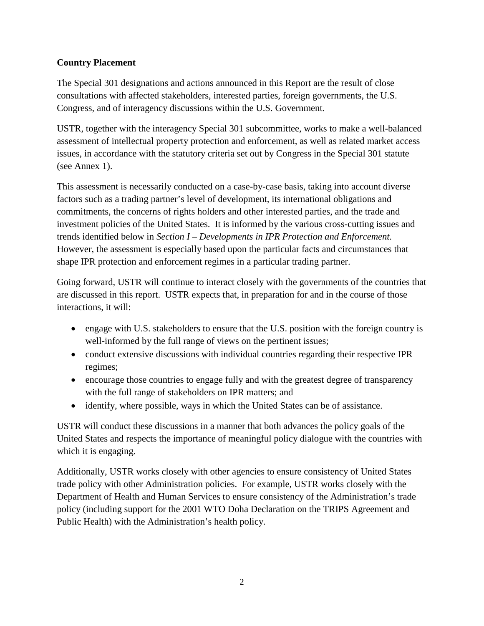# **Country Placement**

The Special 301 designations and actions announced in this Report are the result of close consultations with affected stakeholders, interested parties, foreign governments, the U.S. Congress, and of interagency discussions within the U.S. Government.

USTR, together with the interagency Special 301 subcommittee, works to make a well-balanced assessment of intellectual property protection and enforcement, as well as related market access issues, in accordance with the statutory criteria set out by Congress in the Special 301 statute (see Annex 1).

This assessment is necessarily conducted on a case-by-case basis, taking into account diverse factors such as a trading partner's level of development, its international obligations and commitments, the concerns of rights holders and other interested parties, and the trade and investment policies of the United States. It is informed by the various cross-cutting issues and trends identified below in *Section I – Developments in IPR Protection and Enforcement.* However, the assessment is especially based upon the particular facts and circumstances that shape IPR protection and enforcement regimes in a particular trading partner.

Going forward, USTR will continue to interact closely with the governments of the countries that are discussed in this report. USTR expects that, in preparation for and in the course of those interactions, it will:

- engage with U.S. stakeholders to ensure that the U.S. position with the foreign country is well-informed by the full range of views on the pertinent issues;
- conduct extensive discussions with individual countries regarding their respective IPR regimes;
- encourage those countries to engage fully and with the greatest degree of transparency with the full range of stakeholders on IPR matters; and
- identify, where possible, ways in which the United States can be of assistance.

USTR will conduct these discussions in a manner that both advances the policy goals of the United States and respects the importance of meaningful policy dialogue with the countries with which it is engaging.

Additionally, USTR works closely with other agencies to ensure consistency of United States trade policy with other Administration policies. For example, USTR works closely with the Department of Health and Human Services to ensure consistency of the Administration's trade policy (including support for the 2001 WTO Doha Declaration on the TRIPS Agreement and Public Health) with the Administration's health policy.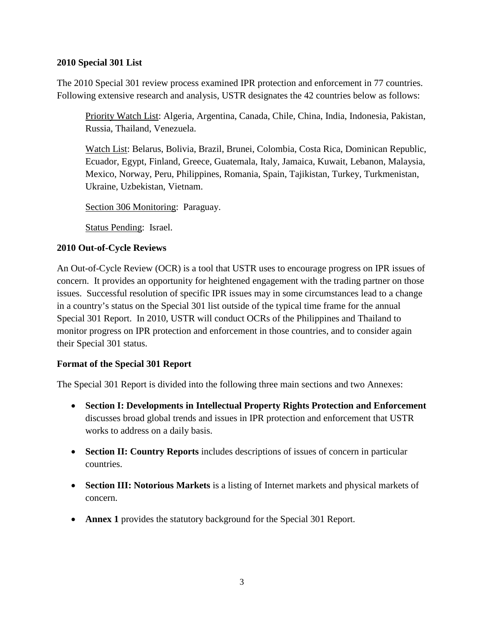# **2010 Special 301 List**

The 2010 Special 301 review process examined IPR protection and enforcement in 77 countries. Following extensive research and analysis, USTR designates the 42 countries below as follows:

Priority Watch List: Algeria, Argentina, Canada, Chile, China, India, Indonesia, Pakistan, Russia, Thailand, Venezuela.

Watch List: Belarus, Bolivia, Brazil, Brunei, Colombia, Costa Rica, Dominican Republic, Ecuador, Egypt, Finland, Greece, Guatemala, Italy, Jamaica, Kuwait, Lebanon, Malaysia, Mexico, Norway, Peru, Philippines, Romania, Spain, Tajikistan, Turkey, Turkmenistan, Ukraine, Uzbekistan, Vietnam.

Section 306 Monitoring: Paraguay.

Status Pending: Israel.

## **2010 Out-of-Cycle Reviews**

An Out-of-Cycle Review (OCR) is a tool that USTR uses to encourage progress on IPR issues of concern. It provides an opportunity for heightened engagement with the trading partner on those issues. Successful resolution of specific IPR issues may in some circumstances lead to a change in a country's status on the Special 301 list outside of the typical time frame for the annual Special 301 Report. In 2010, USTR will conduct OCRs of the Philippines and Thailand to monitor progress on IPR protection and enforcement in those countries, and to consider again their Special 301 status.

# **Format of the Special 301 Report**

The Special 301 Report is divided into the following three main sections and two Annexes:

- **Section I: Developments in Intellectual Property Rights Protection and Enforcement** discusses broad global trends and issues in IPR protection and enforcement that USTR works to address on a daily basis.
- **Section II: Country Reports** includes descriptions of issues of concern in particular countries.
- **Section III: Notorious Markets** is a listing of Internet markets and physical markets of concern.
- **Annex 1** provides the statutory background for the Special 301 Report.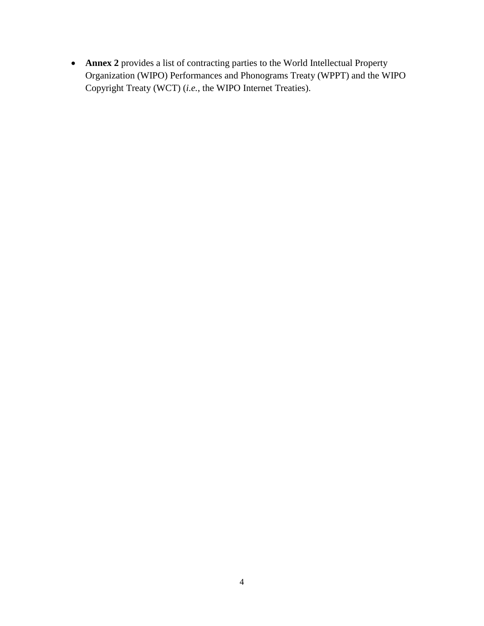• **Annex 2** provides a list of contracting parties to the World Intellectual Property Organization (WIPO) Performances and Phonograms Treaty (WPPT) and the WIPO Copyright Treaty (WCT) (*i.e.*, the WIPO Internet Treaties).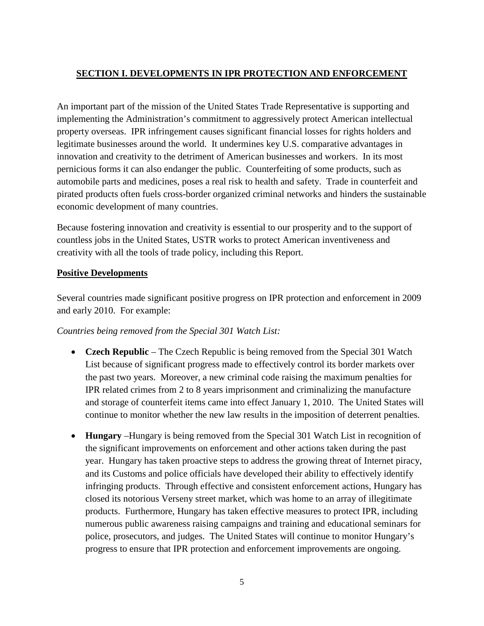# <span id="page-8-0"></span>**SECTION I. DEVELOPMENTS IN IPR PROTECTION AND ENFORCEMENT**

An important part of the mission of the United States Trade Representative is supporting and implementing the Administration's commitment to aggressively protect American intellectual property overseas. IPR infringement causes significant financial losses for rights holders and legitimate businesses around the world. It undermines key U.S. comparative advantages in innovation and creativity to the detriment of American businesses and workers. In its most pernicious forms it can also endanger the public. Counterfeiting of some products, such as automobile parts and medicines, poses a real risk to health and safety. Trade in counterfeit and pirated products often fuels cross-border organized criminal networks and hinders the sustainable economic development of many countries.

Because fostering innovation and creativity is essential to our prosperity and to the support of countless jobs in the United States, USTR works to protect American inventiveness and creativity with all the tools of trade policy, including this Report.

## <span id="page-8-1"></span>**Positive Developments**

Several countries made significant positive progress on IPR protection and enforcement in 2009 and early 2010. For example:

## *Countries being removed from the Special 301 Watch List:*

- **Czech Republic** The Czech Republic is being removed from the Special 301 Watch List because of significant progress made to effectively control its border markets over the past two years. Moreover, a new criminal code raising the maximum penalties for IPR related crimes from 2 to 8 years imprisonment and criminalizing the manufacture and storage of counterfeit items came into effect January 1, 2010. The United States will continue to monitor whether the new law results in the imposition of deterrent penalties.
- **Hungary** –Hungary is being removed from the Special 301 Watch List in recognition of the significant improvements on enforcement and other actions taken during the past year. Hungary has taken proactive steps to address the growing threat of Internet piracy, and its Customs and police officials have developed their ability to effectively identify infringing products. Through effective and consistent enforcement actions, Hungary has closed its notorious Verseny street market, which was home to an array of illegitimate products. Furthermore, Hungary has taken effective measures to protect IPR, including numerous public awareness raising campaigns and training and educational seminars for police, prosecutors, and judges. The United States will continue to monitor Hungary's progress to ensure that IPR protection and enforcement improvements are ongoing.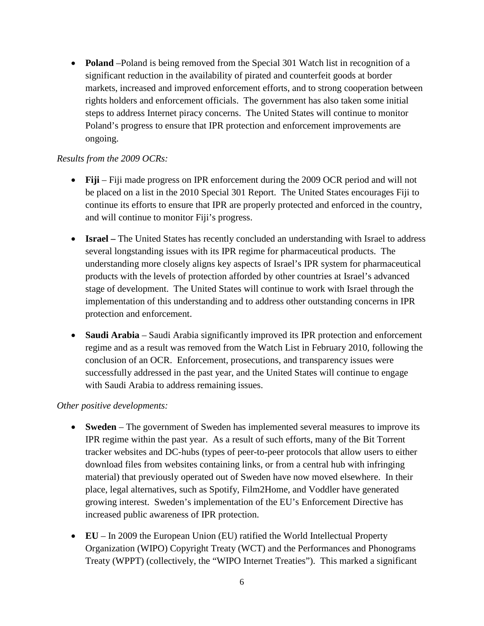• **Poland** –Poland is being removed from the Special 301 Watch list in recognition of a significant reduction in the availability of pirated and counterfeit goods at border markets, increased and improved enforcement efforts, and to strong cooperation between rights holders and enforcement officials. The government has also taken some initial steps to address Internet piracy concerns. The United States will continue to monitor Poland's progress to ensure that IPR protection and enforcement improvements are ongoing.

# *Results from the 2009 OCRs:*

- **Fiji** Fiji made progress on IPR enforcement during the 2009 OCR period and will not be placed on a list in the 2010 Special 301 Report. The United States encourages Fiji to continue its efforts to ensure that IPR are properly protected and enforced in the country, and will continue to monitor Fiji's progress.
- **Israel** The United States has recently concluded an understanding with Israel to address several longstanding issues with its IPR regime for pharmaceutical products. The understanding more closely aligns key aspects of Israel's IPR system for pharmaceutical products with the levels of protection afforded by other countries at Israel's advanced stage of development. The United States will continue to work with Israel through the implementation of this understanding and to address other outstanding concerns in IPR protection and enforcement.
- **Saudi Arabia** Saudi Arabia significantly improved its IPR protection and enforcement regime and as a result was removed from the Watch List in February 2010, following the conclusion of an OCR. Enforcement, prosecutions, and transparency issues were successfully addressed in the past year, and the United States will continue to engage with Saudi Arabia to address remaining issues.

## *Other positive developments:*

- **Sweden** The government of Sweden has implemented several measures to improve its IPR regime within the past year. As a result of such efforts, many of the Bit Torrent tracker websites and DC-hubs (types of peer-to-peer protocols that allow users to either download files from websites containing links, or from a central hub with infringing material) that previously operated out of Sweden have now moved elsewhere. In their place, legal alternatives, such as Spotify, Film2Home, and Voddler have generated growing interest. Sweden's implementation of the EU's Enforcement Directive has increased public awareness of IPR protection.
- **EU** In 2009 the European Union (EU) ratified the World Intellectual Property Organization (WIPO) Copyright Treaty (WCT) and the Performances and Phonograms Treaty (WPPT) (collectively, the "WIPO Internet Treaties"). This marked a significant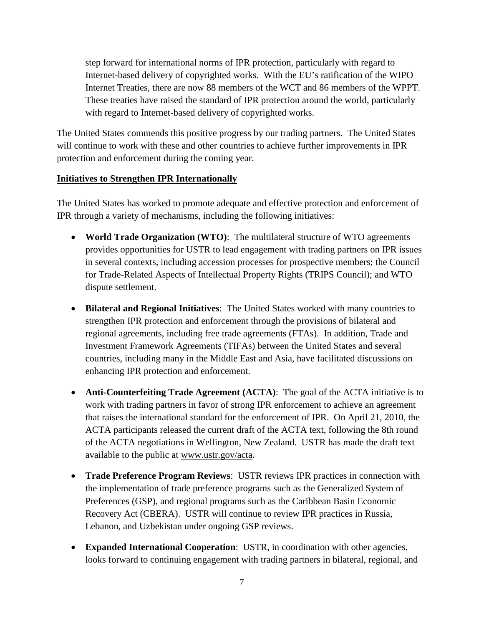step forward for international norms of IPR protection, particularly with regard to Internet-based delivery of copyrighted works. With the EU's ratification of the WIPO Internet Treaties, there are now 88 members of the WCT and 86 members of the WPPT. These treaties have raised the standard of IPR protection around the world, particularly with regard to Internet-based delivery of copyrighted works.

The United States commends this positive progress by our trading partners. The United States will continue to work with these and other countries to achieve further improvements in IPR protection and enforcement during the coming year.

## <span id="page-10-0"></span>**Initiatives to Strengthen IPR Internationally**

The United States has worked to promote adequate and effective protection and enforcement of IPR through a variety of mechanisms, including the following initiatives:

- **World Trade Organization (WTO)**: The multilateral structure of WTO agreements provides opportunities for USTR to lead engagement with trading partners on IPR issues in several contexts, including accession processes for prospective members; the Council for Trade-Related Aspects of Intellectual Property Rights (TRIPS Council); and WTO dispute settlement.
- **Bilateral and Regional Initiatives**: The United States worked with many countries to strengthen IPR protection and enforcement through the provisions of bilateral and regional agreements, including free trade agreements (FTAs). In addition, Trade and Investment Framework Agreements (TIFAs) between the United States and several countries, including many in the Middle East and Asia, have facilitated discussions on enhancing IPR protection and enforcement.
- **Anti-Counterfeiting Trade Agreement (ACTA)**: The goal of the ACTA initiative is to work with trading partners in favor of strong IPR enforcement to achieve an agreement that raises the international standard for the enforcement of IPR. On April 21, 2010, the ACTA participants released the current draft of the ACTA text, following the 8th round of the ACTA negotiations in Wellington, New Zealand. USTR has made the draft text available to the public at [www.ustr.gov/acta.](http://www.ustr.gov/acta)
- **Trade Preference Program Reviews**: USTR reviews IPR practices in connection with the implementation of trade preference programs such as the Generalized System of Preferences (GSP), and regional programs such as the Caribbean Basin Economic Recovery Act (CBERA). USTR will continue to review IPR practices in Russia, Lebanon, and Uzbekistan under ongoing GSP reviews.
- **Expanded International Cooperation**: USTR, in coordination with other agencies, looks forward to continuing engagement with trading partners in bilateral, regional, and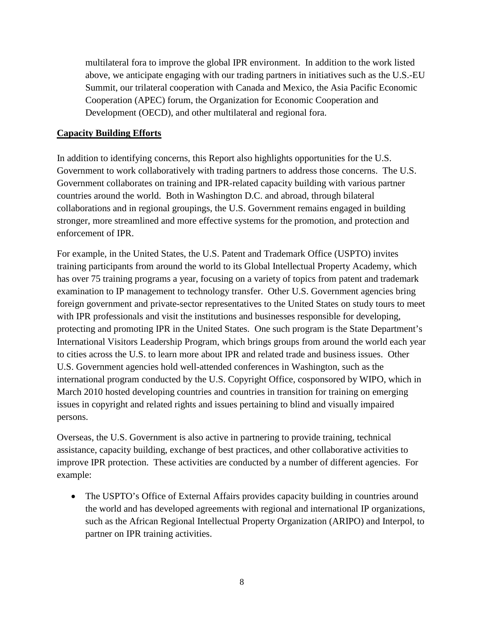multilateral fora to improve the global IPR environment. In addition to the work listed above, we anticipate engaging with our trading partners in initiatives such as the U.S.-EU Summit, our trilateral cooperation with Canada and Mexico, the Asia Pacific Economic Cooperation (APEC) forum, the Organization for Economic Cooperation and Development (OECD), and other multilateral and regional fora.

# <span id="page-11-0"></span>**Capacity Building Efforts**

In addition to identifying concerns, this Report also highlights opportunities for the U.S. Government to work collaboratively with trading partners to address those concerns. The U.S. Government collaborates on training and IPR-related capacity building with various partner countries around the world. Both in Washington D.C. and abroad, through bilateral collaborations and in regional groupings, the U.S. Government remains engaged in building stronger, more streamlined and more effective systems for the promotion, and protection and enforcement of IPR.

For example, in the United States, the U.S. Patent and Trademark Office (USPTO) invites training participants from around the world to its Global Intellectual Property Academy, which has over 75 training programs a year, focusing on a variety of topics from patent and trademark examination to IP management to technology transfer. Other U.S. Government agencies bring foreign government and private-sector representatives to the United States on study tours to meet with IPR professionals and visit the institutions and businesses responsible for developing, protecting and promoting IPR in the United States. One such program is the State Department's International Visitors Leadership Program, which brings groups from around the world each year to cities across the U.S. to learn more about IPR and related trade and business issues. Other U.S. Government agencies hold well-attended conferences in Washington, such as the international program conducted by the U.S. Copyright Office, cosponsored by WIPO, which in March 2010 hosted developing countries and countries in transition for training on emerging issues in copyright and related rights and issues pertaining to blind and visually impaired persons.

Overseas, the U.S. Government is also active in partnering to provide training, technical assistance, capacity building, exchange of best practices, and other collaborative activities to improve IPR protection. These activities are conducted by a number of different agencies. For example:

• The USPTO's Office of External Affairs provides capacity building in countries around the world and has developed agreements with regional and international IP organizations, such as the African Regional Intellectual Property Organization (ARIPO) and Interpol, to partner on IPR training activities.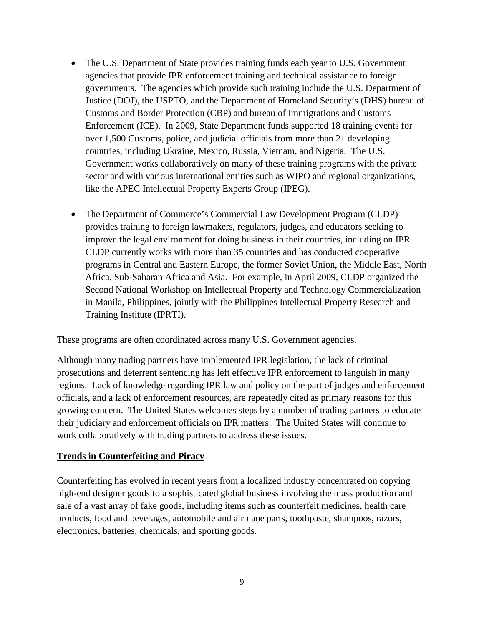- The U.S. Department of State provides training funds each year to U.S. Government agencies that provide IPR enforcement training and technical assistance to foreign governments. The agencies which provide such training include the U.S. Department of Justice (DOJ), the USPTO, and the Department of Homeland Security's (DHS) bureau of Customs and Border Protection (CBP) and bureau of Immigrations and Customs Enforcement (ICE). In 2009, State Department funds supported 18 training events for over 1,500 Customs, police, and judicial officials from more than 21 developing countries, including Ukraine, Mexico, Russia, Vietnam, and Nigeria. The U.S. Government works collaboratively on many of these training programs with the private sector and with various international entities such as WIPO and regional organizations, like the APEC Intellectual Property Experts Group (IPEG).
- The Department of Commerce's Commercial Law Development Program (CLDP) provides training to foreign lawmakers, regulators, judges, and educators seeking to improve the legal environment for doing business in their countries, including on IPR. CLDP currently works with more than 35 countries and has conducted cooperative programs in Central and Eastern Europe, the former Soviet Union, the Middle East, North Africa, Sub-Saharan Africa and Asia. For example, in April 2009, CLDP organized the Second National Workshop on Intellectual Property and Technology Commercialization in Manila, Philippines, jointly with the Philippines Intellectual Property Research and Training Institute (IPRTI).

These programs are often coordinated across many U.S. Government agencies.

Although many trading partners have implemented IPR legislation, the lack of criminal prosecutions and deterrent sentencing has left effective IPR enforcement to languish in many regions. Lack of knowledge regarding IPR law and policy on the part of judges and enforcement officials, and a lack of enforcement resources, are repeatedly cited as primary reasons for this growing concern. The United States welcomes steps by a number of trading partners to educate their judiciary and enforcement officials on IPR matters. The United States will continue to work collaboratively with trading partners to address these issues.

## <span id="page-12-0"></span>**Trends in Counterfeiting and Piracy**

Counterfeiting has evolved in recent years from a localized industry concentrated on copying high-end designer goods to a sophisticated global business involving the mass production and sale of a vast array of fake goods, including items such as counterfeit medicines, health care products, food and beverages, automobile and airplane parts, toothpaste, shampoos, razors, electronics, batteries, chemicals, and sporting goods.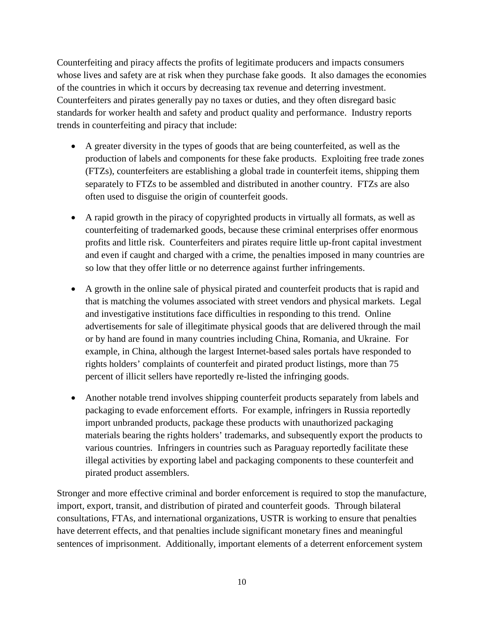Counterfeiting and piracy affects the profits of legitimate producers and impacts consumers whose lives and safety are at risk when they purchase fake goods. It also damages the economies of the countries in which it occurs by decreasing tax revenue and deterring investment. Counterfeiters and pirates generally pay no taxes or duties, and they often disregard basic standards for worker health and safety and product quality and performance. Industry reports trends in counterfeiting and piracy that include:

- A greater diversity in the types of goods that are being counterfeited, as well as the production of labels and components for these fake products. Exploiting free trade zones (FTZs), counterfeiters are establishing a global trade in counterfeit items, shipping them separately to FTZs to be assembled and distributed in another country. FTZs are also often used to disguise the origin of counterfeit goods.
- A rapid growth in the piracy of copyrighted products in virtually all formats, as well as counterfeiting of trademarked goods, because these criminal enterprises offer enormous profits and little risk. Counterfeiters and pirates require little up-front capital investment and even if caught and charged with a crime, the penalties imposed in many countries are so low that they offer little or no deterrence against further infringements.
- A growth in the online sale of physical pirated and counterfeit products that is rapid and that is matching the volumes associated with street vendors and physical markets. Legal and investigative institutions face difficulties in responding to this trend. Online advertisements for sale of illegitimate physical goods that are delivered through the mail or by hand are found in many countries including China, Romania, and Ukraine. For example, in China, although the largest Internet-based sales portals have responded to rights holders' complaints of counterfeit and pirated product listings, more than 75 percent of illicit sellers have reportedly re-listed the infringing goods.
- Another notable trend involves shipping counterfeit products separately from labels and packaging to evade enforcement efforts. For example, infringers in Russia reportedly import unbranded products, package these products with unauthorized packaging materials bearing the rights holders' trademarks, and subsequently export the products to various countries. Infringers in countries such as Paraguay reportedly facilitate these illegal activities by exporting label and packaging components to these counterfeit and pirated product assemblers.

Stronger and more effective criminal and border enforcement is required to stop the manufacture, import, export, transit, and distribution of pirated and counterfeit goods. Through bilateral consultations, FTAs, and international organizations, USTR is working to ensure that penalties have deterrent effects, and that penalties include significant monetary fines and meaningful sentences of imprisonment. Additionally, important elements of a deterrent enforcement system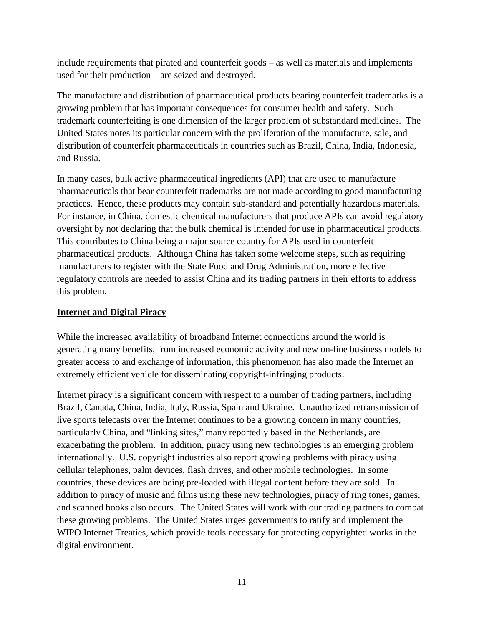include requirements that pirated and counterfeit goods – as well as materials and implements used for their production – are seized and destroyed.

The manufacture and distribution of pharmaceutical products bearing counterfeit trademarks is a growing problem that has important consequences for consumer health and safety. Such trademark counterfeiting is one dimension of the larger problem of substandard medicines. The United States notes its particular concern with the proliferation of the manufacture, sale, and distribution of counterfeit pharmaceuticals in countries such as Brazil, China, India, Indonesia, and Russia.

In many cases, bulk active pharmaceutical ingredients (API) that are used to manufacture pharmaceuticals that bear counterfeit trademarks are not made according to good manufacturing practices. Hence, these products may contain sub-standard and potentially hazardous materials. For instance, in China, domestic chemical manufacturers that produce APIs can avoid regulatory oversight by not declaring that the bulk chemical is intended for use in pharmaceutical products. This contributes to China being a major source country for APIs used in counterfeit pharmaceutical products. Although China has taken some welcome steps, such as requiring manufacturers to register with the State Food and Drug Administration, more effective regulatory controls are needed to assist China and its trading partners in their efforts to address this problem.

## <span id="page-14-0"></span>**Internet and Digital Piracy**

While the increased availability of broadband Internet connections around the world is generating many benefits, from increased economic activity and new on-line business models to greater access to and exchange of information, this phenomenon has also made the Internet an extremely efficient vehicle for disseminating copyright-infringing products.

Internet piracy is a significant concern with respect to a number of trading partners, including Brazil, Canada, China, India, Italy, Russia, Spain and Ukraine. Unauthorized retransmission of live sports telecasts over the Internet continues to be a growing concern in many countries, particularly China, and "linking sites," many reportedly based in the Netherlands, are exacerbating the problem. In addition, piracy using new technologies is an emerging problem internationally. U.S. copyright industries also report growing problems with piracy using cellular telephones, palm devices, flash drives, and other mobile technologies. In some countries, these devices are being pre-loaded with illegal content before they are sold. In addition to piracy of music and films using these new technologies, piracy of ring tones, games, and scanned books also occurs. The United States will work with our trading partners to combat these growing problems. The United States urges governments to ratify and implement the WIPO Internet Treaties, which provide tools necessary for protecting copyrighted works in the digital environment.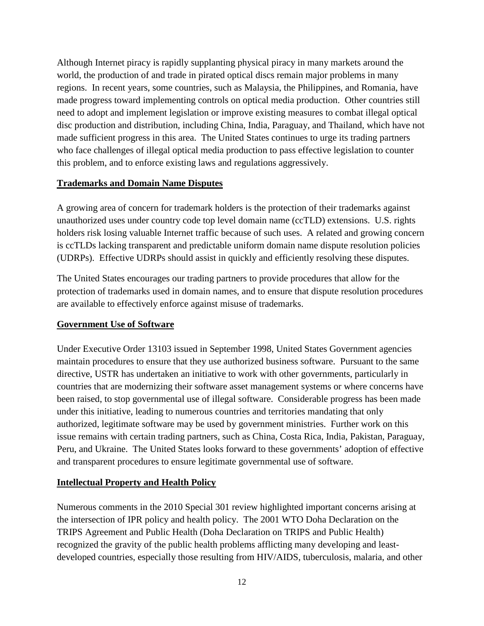Although Internet piracy is rapidly supplanting physical piracy in many markets around the world, the production of and trade in pirated optical discs remain major problems in many regions. In recent years, some countries, such as Malaysia, the Philippines, and Romania, have made progress toward implementing controls on optical media production. Other countries still need to adopt and implement legislation or improve existing measures to combat illegal optical disc production and distribution, including China, India, Paraguay, and Thailand, which have not made sufficient progress in this area. The United States continues to urge its trading partners who face challenges of illegal optical media production to pass effective legislation to counter this problem, and to enforce existing laws and regulations aggressively.

## <span id="page-15-0"></span>**Trademarks and Domain Name Disputes**

A growing area of concern for trademark holders is the protection of their trademarks against unauthorized uses under country code top level domain name (ccTLD) extensions. U.S. rights holders risk losing valuable Internet traffic because of such uses. A related and growing concern is ccTLDs lacking transparent and predictable uniform domain name dispute resolution policies (UDRPs). Effective UDRPs should assist in quickly and efficiently resolving these disputes.

The United States encourages our trading partners to provide procedures that allow for the protection of trademarks used in domain names, and to ensure that dispute resolution procedures are available to effectively enforce against misuse of trademarks.

# <span id="page-15-1"></span>**Government Use of Software**

Under Executive Order 13103 issued in September 1998, United States Government agencies maintain procedures to ensure that they use authorized business software. Pursuant to the same directive, USTR has undertaken an initiative to work with other governments, particularly in countries that are modernizing their software asset management systems or where concerns have been raised, to stop governmental use of illegal software. Considerable progress has been made under this initiative, leading to numerous countries and territories mandating that only authorized, legitimate software may be used by government ministries. Further work on this issue remains with certain trading partners, such as China, Costa Rica, India, Pakistan, Paraguay, Peru, and Ukraine. The United States looks forward to these governments' adoption of effective and transparent procedures to ensure legitimate governmental use of software.

# <span id="page-15-2"></span>**Intellectual Property and Health Policy**

Numerous comments in the 2010 Special 301 review highlighted important concerns arising at the intersection of IPR policy and health policy. The 2001 WTO Doha Declaration on the TRIPS Agreement and Public Health (Doha Declaration on TRIPS and Public Health) recognized the gravity of the public health problems afflicting many developing and leastdeveloped countries, especially those resulting from HIV/AIDS, tuberculosis, malaria, and other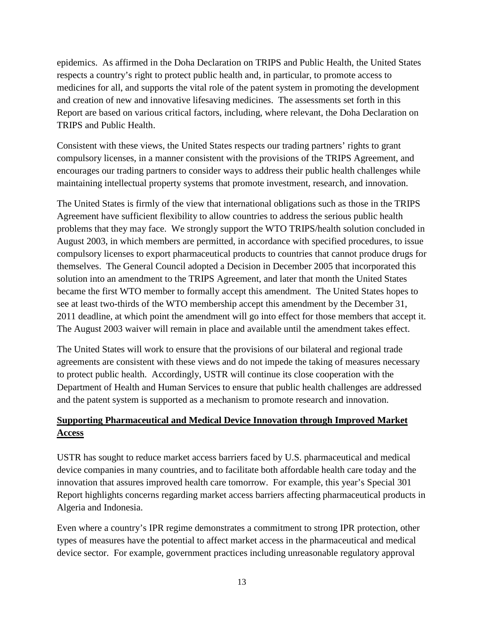epidemics. As affirmed in the Doha Declaration on TRIPS and Public Health, the United States respects a country's right to protect public health and, in particular, to promote access to medicines for all, and supports the vital role of the patent system in promoting the development and creation of new and innovative lifesaving medicines. The assessments set forth in this Report are based on various critical factors, including, where relevant, the Doha Declaration on TRIPS and Public Health.

Consistent with these views, the United States respects our trading partners' rights to grant compulsory licenses, in a manner consistent with the provisions of the TRIPS Agreement, and encourages our trading partners to consider ways to address their public health challenges while maintaining intellectual property systems that promote investment, research, and innovation.

The United States is firmly of the view that international obligations such as those in the TRIPS Agreement have sufficient flexibility to allow countries to address the serious public health problems that they may face. We strongly support the WTO TRIPS/health solution concluded in August 2003, in which members are permitted, in accordance with specified procedures, to issue compulsory licenses to export pharmaceutical products to countries that cannot produce drugs for themselves. The General Council adopted a Decision in December 2005 that incorporated this solution into an amendment to the TRIPS Agreement, and later that month the United States became the first WTO member to formally accept this amendment. The United States hopes to see at least two-thirds of the WTO membership accept this amendment by the December 31, 2011 deadline, at which point the amendment will go into effect for those members that accept it. The August 2003 waiver will remain in place and available until the amendment takes effect.

The United States will work to ensure that the provisions of our bilateral and regional trade agreements are consistent with these views and do not impede the taking of measures necessary to protect public health. Accordingly, USTR will continue its close cooperation with the Department of Health and Human Services to ensure that public health challenges are addressed and the patent system is supported as a mechanism to promote research and innovation.

# <span id="page-16-0"></span>**Supporting Pharmaceutical and Medical Device Innovation through Improved Market Access**

USTR has sought to reduce market access barriers faced by U.S. pharmaceutical and medical device companies in many countries, and to facilitate both affordable health care today and the innovation that assures improved health care tomorrow. For example, this year's Special 301 Report highlights concerns regarding market access barriers affecting pharmaceutical products in Algeria and Indonesia.

Even where a country's IPR regime demonstrates a commitment to strong IPR protection, other types of measures have the potential to affect market access in the pharmaceutical and medical device sector. For example, government practices including unreasonable regulatory approval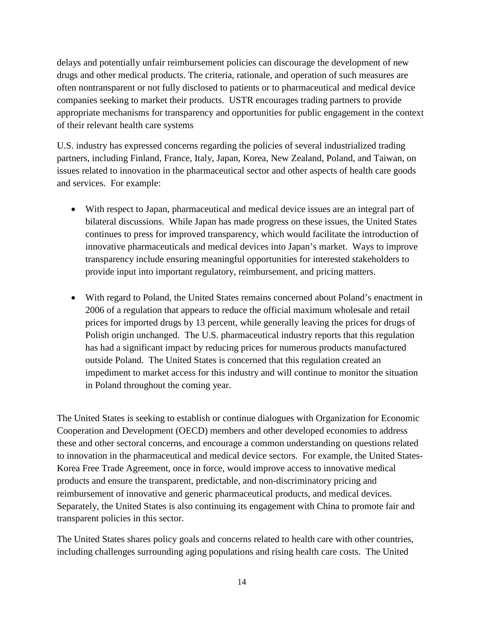delays and potentially unfair reimbursement policies can discourage the development of new drugs and other medical products. The criteria, rationale, and operation of such measures are often nontransparent or not fully disclosed to patients or to pharmaceutical and medical device companies seeking to market their products. USTR encourages trading partners to provide appropriate mechanisms for transparency and opportunities for public engagement in the context of their relevant health care systems

U.S. industry has expressed concerns regarding the policies of several industrialized trading partners, including Finland, France, Italy, Japan, Korea, New Zealand, Poland, and Taiwan, on issues related to innovation in the pharmaceutical sector and other aspects of health care goods and services. For example:

- With respect to Japan, pharmaceutical and medical device issues are an integral part of bilateral discussions. While Japan has made progress on these issues, the United States continues to press for improved transparency, which would facilitate the introduction of innovative pharmaceuticals and medical devices into Japan's market. Ways to improve transparency include ensuring meaningful opportunities for interested stakeholders to provide input into important regulatory, reimbursement, and pricing matters.
- With regard to Poland, the United States remains concerned about Poland's enactment in 2006 of a regulation that appears to reduce the official maximum wholesale and retail prices for imported drugs by 13 percent, while generally leaving the prices for drugs of Polish origin unchanged. The U.S. pharmaceutical industry reports that this regulation has had a significant impact by reducing prices for numerous products manufactured outside Poland. The United States is concerned that this regulation created an impediment to market access for this industry and will continue to monitor the situation in Poland throughout the coming year.

The United States is seeking to establish or continue dialogues with Organization for Economic Cooperation and Development (OECD) members and other developed economies to address these and other sectoral concerns, and encourage a common understanding on questions related to innovation in the pharmaceutical and medical device sectors. For example, the United States-Korea Free Trade Agreement, once in force, would improve access to innovative medical products and ensure the transparent, predictable, and non-discriminatory pricing and reimbursement of innovative and generic pharmaceutical products, and medical devices. Separately, the United States is also continuing its engagement with China to promote fair and transparent policies in this sector.

The United States shares policy goals and concerns related to health care with other countries, including challenges surrounding aging populations and rising health care costs. The United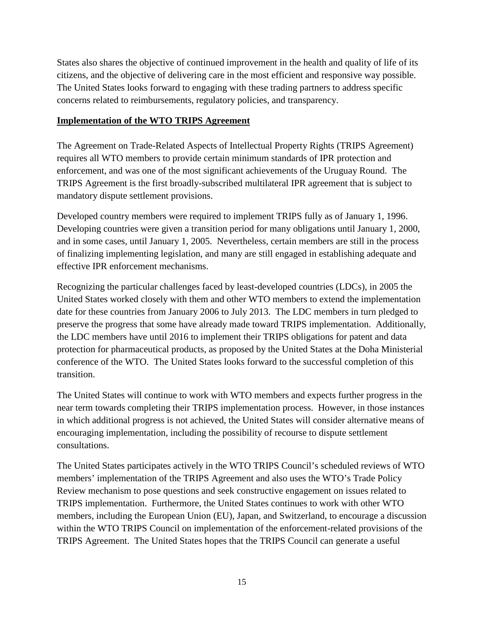States also shares the objective of continued improvement in the health and quality of life of its citizens, and the objective of delivering care in the most efficient and responsive way possible. The United States looks forward to engaging with these trading partners to address specific concerns related to reimbursements, regulatory policies, and transparency.

# <span id="page-18-0"></span>**Implementation of the WTO TRIPS Agreement**

The Agreement on Trade-Related Aspects of Intellectual Property Rights (TRIPS Agreement) requires all WTO members to provide certain minimum standards of IPR protection and enforcement, and was one of the most significant achievements of the Uruguay Round. The TRIPS Agreement is the first broadly-subscribed multilateral IPR agreement that is subject to mandatory dispute settlement provisions.

Developed country members were required to implement TRIPS fully as of January 1, 1996. Developing countries were given a transition period for many obligations until January 1, 2000, and in some cases, until January 1, 2005. Nevertheless, certain members are still in the process of finalizing implementing legislation, and many are still engaged in establishing adequate and effective IPR enforcement mechanisms.

Recognizing the particular challenges faced by least-developed countries (LDCs), in 2005 the United States worked closely with them and other WTO members to extend the implementation date for these countries from January 2006 to July 2013. The LDC members in turn pledged to preserve the progress that some have already made toward TRIPS implementation. Additionally, the LDC members have until 2016 to implement their TRIPS obligations for patent and data protection for pharmaceutical products, as proposed by the United States at the Doha Ministerial conference of the WTO. The United States looks forward to the successful completion of this transition.

The United States will continue to work with WTO members and expects further progress in the near term towards completing their TRIPS implementation process. However, in those instances in which additional progress is not achieved, the United States will consider alternative means of encouraging implementation, including the possibility of recourse to dispute settlement consultations.

The United States participates actively in the WTO TRIPS Council's scheduled reviews of WTO members' implementation of the TRIPS Agreement and also uses the WTO's Trade Policy Review mechanism to pose questions and seek constructive engagement on issues related to TRIPS implementation. Furthermore, the United States continues to work with other WTO members, including the European Union (EU), Japan, and Switzerland, to encourage a discussion within the WTO TRIPS Council on implementation of the enforcement-related provisions of the TRIPS Agreement. The United States hopes that the TRIPS Council can generate a useful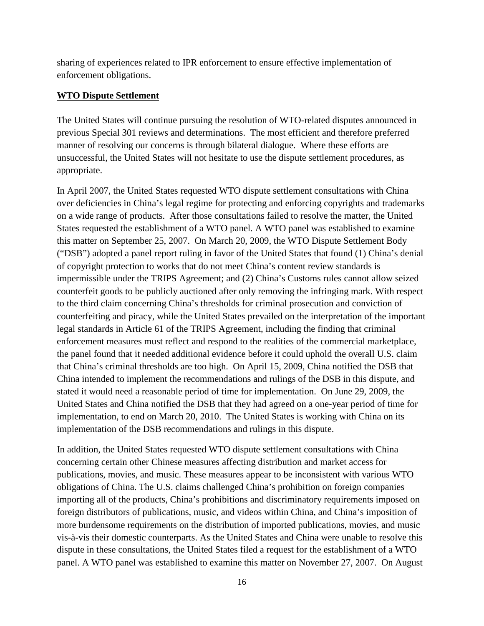sharing of experiences related to IPR enforcement to ensure effective implementation of enforcement obligations.

## <span id="page-19-0"></span>**WTO Dispute Settlement**

The United States will continue pursuing the resolution of WTO-related disputes announced in previous Special 301 reviews and determinations. The most efficient and therefore preferred manner of resolving our concerns is through bilateral dialogue. Where these efforts are unsuccessful, the United States will not hesitate to use the dispute settlement procedures, as appropriate.

In April 2007, the United States requested WTO dispute settlement consultations with China over deficiencies in China's legal regime for protecting and enforcing copyrights and trademarks on a wide range of products. After those consultations failed to resolve the matter, the United States requested the establishment of a WTO panel. A WTO panel was established to examine this matter on September 25, 2007. On March 20, 2009, the WTO Dispute Settlement Body ("DSB") adopted a panel report ruling in favor of the United States that found (1) China's denial of copyright protection to works that do not meet China's content review standards is impermissible under the TRIPS Agreement; and (2) China's Customs rules cannot allow seized counterfeit goods to be publicly auctioned after only removing the infringing mark. With respect to the third claim concerning China's thresholds for criminal prosecution and conviction of counterfeiting and piracy, while the United States prevailed on the interpretation of the important legal standards in Article 61 of the TRIPS Agreement, including the finding that criminal enforcement measures must reflect and respond to the realities of the commercial marketplace, the panel found that it needed additional evidence before it could uphold the overall U.S. claim that China's criminal thresholds are too high. On April 15, 2009, China notified the DSB that China intended to implement the recommendations and rulings of the DSB in this dispute, and stated it would need a reasonable period of time for implementation. On June 29, 2009, the United States and China notified the DSB that they had agreed on a one-year period of time for implementation, to end on March 20, 2010. The United States is working with China on its implementation of the DSB recommendations and rulings in this dispute.

In addition, the United States requested WTO dispute settlement consultations with China concerning certain other Chinese measures affecting distribution and market access for publications, movies, and music. These measures appear to be inconsistent with various WTO obligations of China. The U.S. claims challenged China's prohibition on foreign companies importing all of the products, China's prohibitions and discriminatory requirements imposed on foreign distributors of publications, music, and videos within China, and China's imposition of more burdensome requirements on the distribution of imported publications, movies, and music vis-à-vis their domestic counterparts. As the United States and China were unable to resolve this dispute in these consultations, the United States filed a request for the establishment of a WTO panel. A WTO panel was established to examine this matter on November 27, 2007. On August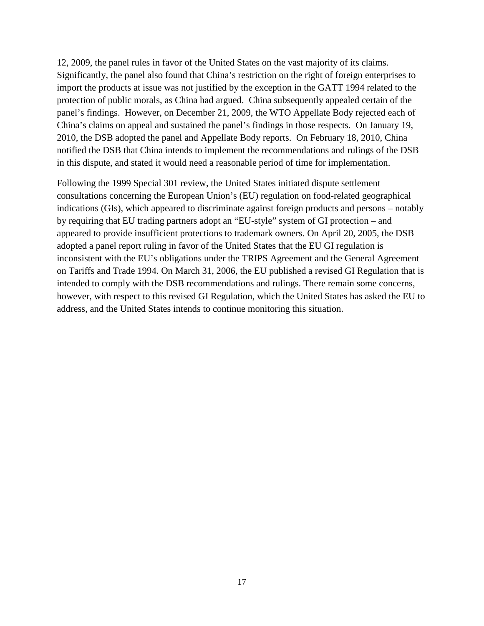12, 2009, the panel rules in favor of the United States on the vast majority of its claims. Significantly, the panel also found that China's restriction on the right of foreign enterprises to import the products at issue was not justified by the exception in the GATT 1994 related to the protection of public morals, as China had argued. China subsequently appealed certain of the panel's findings. However, on December 21, 2009, the WTO Appellate Body rejected each of China's claims on appeal and sustained the panel's findings in those respects. On January 19, 2010, the DSB adopted the panel and Appellate Body reports. On February 18, 2010, China notified the DSB that China intends to implement the recommendations and rulings of the DSB in this dispute, and stated it would need a reasonable period of time for implementation.

Following the 1999 Special 301 review, the United States initiated dispute settlement consultations concerning the European Union's (EU) regulation on food-related geographical indications (GIs), which appeared to discriminate against foreign products and persons – notably by requiring that EU trading partners adopt an "EU-style" system of GI protection – and appeared to provide insufficient protections to trademark owners. On April 20, 2005, the DSB adopted a panel report ruling in favor of the United States that the EU GI regulation is inconsistent with the EU's obligations under the TRIPS Agreement and the General Agreement on Tariffs and Trade 1994. On March 31, 2006, the EU published a revised GI Regulation that is intended to comply with the DSB recommendations and rulings. There remain some concerns, however, with respect to this revised GI Regulation, which the United States has asked the EU to address, and the United States intends to continue monitoring this situation.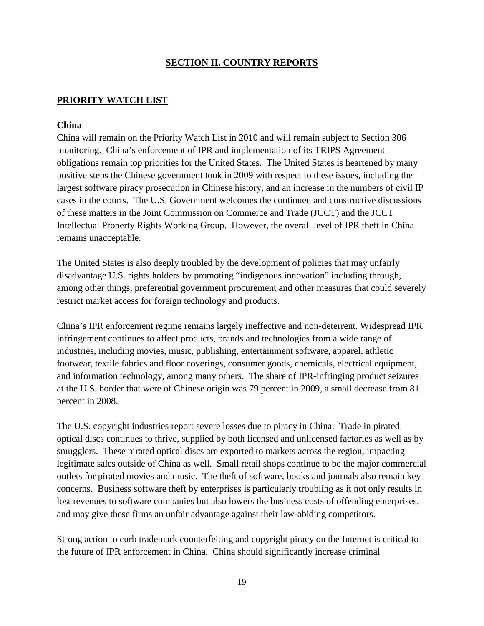# **SECTION II. COUNTRY REPORTS**

# <span id="page-22-2"></span><span id="page-22-1"></span><span id="page-22-0"></span>**PRIORITY WATCH LIST**

## **China**

China will remain on the Priority Watch List in 2010 and will remain subject to Section 306 monitoring. China's enforcement of IPR and implementation of its TRIPS Agreement obligations remain top priorities for the United States. The United States is heartened by many positive steps the Chinese government took in 2009 with respect to these issues, including the largest software piracy prosecution in Chinese history, and an increase in the numbers of civil IP cases in the courts. The U.S. Government welcomes the continued and constructive discussions of these matters in the Joint Commission on Commerce and Trade (JCCT) and the JCCT Intellectual Property Rights Working Group. However, the overall level of IPR theft in China remains unacceptable.

The United States is also deeply troubled by the development of policies that may unfairly disadvantage U.S. rights holders by promoting "indigenous innovation" including through, among other things, preferential government procurement and other measures that could severely restrict market access for foreign technology and products.

China's IPR enforcement regime remains largely ineffective and non-deterrent. Widespread IPR infringement continues to affect products, brands and technologies from a wide range of industries, including movies, music, publishing, entertainment software, apparel, athletic footwear, textile fabrics and floor coverings, consumer goods, chemicals, electrical equipment, and information technology, among many others. The share of IPR-infringing product seizures at the U.S. border that were of Chinese origin was 79 percent in 2009, a small decrease from 81 percent in 2008.

The U.S. copyright industries report severe losses due to piracy in China. Trade in pirated optical discs continues to thrive, supplied by both licensed and unlicensed factories as well as by smugglers. These pirated optical discs are exported to markets across the region, impacting legitimate sales outside of China as well. Small retail shops continue to be the major commercial outlets for pirated movies and music. The theft of software, books and journals also remain key concerns. Business software theft by enterprises is particularly troubling as it not only results in lost revenues to software companies but also lowers the business costs of offending enterprises, and may give these firms an unfair advantage against their law-abiding competitors.

Strong action to curb trademark counterfeiting and copyright piracy on the Internet is critical to the future of IPR enforcement in China. China should significantly increase criminal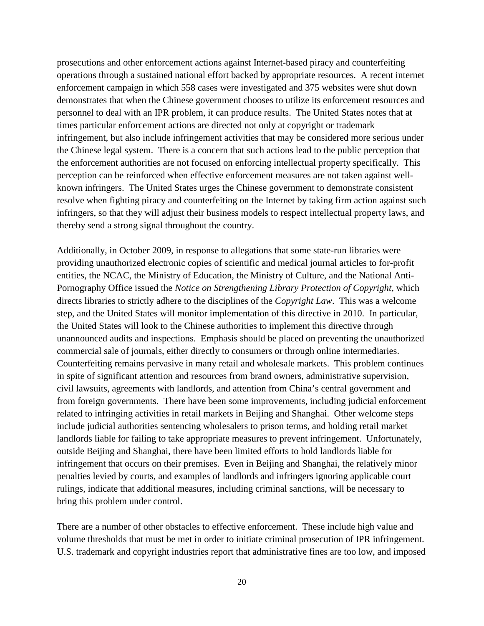prosecutions and other enforcement actions against Internet-based piracy and counterfeiting operations through a sustained national effort backed by appropriate resources. A recent internet enforcement campaign in which 558 cases were investigated and 375 websites were shut down demonstrates that when the Chinese government chooses to utilize its enforcement resources and personnel to deal with an IPR problem, it can produce results. The United States notes that at times particular enforcement actions are directed not only at copyright or trademark infringement, but also include infringement activities that may be considered more serious under the Chinese legal system. There is a concern that such actions lead to the public perception that the enforcement authorities are not focused on enforcing intellectual property specifically. This perception can be reinforced when effective enforcement measures are not taken against wellknown infringers. The United States urges the Chinese government to demonstrate consistent resolve when fighting piracy and counterfeiting on the Internet by taking firm action against such infringers, so that they will adjust their business models to respect intellectual property laws, and thereby send a strong signal throughout the country.

Additionally, in October 2009, in response to allegations that some state-run libraries were providing unauthorized electronic copies of scientific and medical journal articles to for-profit entities, the NCAC, the Ministry of Education, the Ministry of Culture, and the National Anti-Pornography Office issued the *Notice on Strengthening Library Protection of Copyright*, which directs libraries to strictly adhere to the disciplines of the *Copyright Law*. This was a welcome step, and the United States will monitor implementation of this directive in 2010. In particular, the United States will look to the Chinese authorities to implement this directive through unannounced audits and inspections. Emphasis should be placed on preventing the unauthorized commercial sale of journals, either directly to consumers or through online intermediaries. Counterfeiting remains pervasive in many retail and wholesale markets. This problem continues in spite of significant attention and resources from brand owners, administrative supervision, civil lawsuits, agreements with landlords, and attention from China's central government and from foreign governments. There have been some improvements, including judicial enforcement related to infringing activities in retail markets in Beijing and Shanghai. Other welcome steps include judicial authorities sentencing wholesalers to prison terms, and holding retail market landlords liable for failing to take appropriate measures to prevent infringement. Unfortunately, outside Beijing and Shanghai, there have been limited efforts to hold landlords liable for infringement that occurs on their premises. Even in Beijing and Shanghai, the relatively minor penalties levied by courts, and examples of landlords and infringers ignoring applicable court rulings, indicate that additional measures, including criminal sanctions, will be necessary to bring this problem under control.

There are a number of other obstacles to effective enforcement. These include high value and volume thresholds that must be met in order to initiate criminal prosecution of IPR infringement. U.S. trademark and copyright industries report that administrative fines are too low, and imposed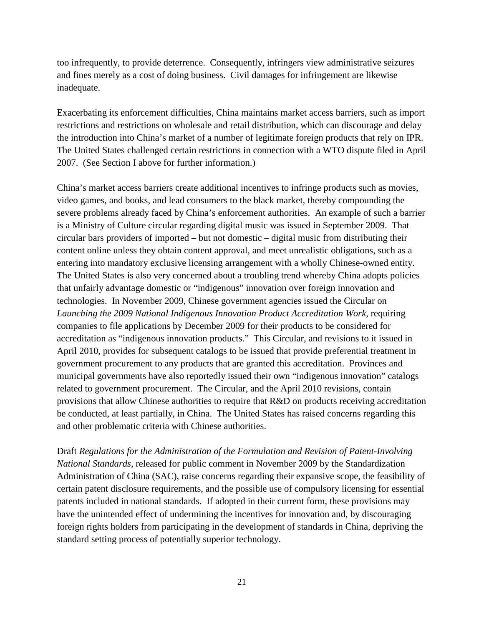too infrequently, to provide deterrence. Consequently, infringers view administrative seizures and fines merely as a cost of doing business. Civil damages for infringement are likewise inadequate.

Exacerbating its enforcement difficulties, China maintains market access barriers, such as import restrictions and restrictions on wholesale and retail distribution, which can discourage and delay the introduction into China's market of a number of legitimate foreign products that rely on IPR. The United States challenged certain restrictions in connection with a WTO dispute filed in April 2007. (See Section I above for further information.)

China's market access barriers create additional incentives to infringe products such as movies, video games, and books, and lead consumers to the black market, thereby compounding the severe problems already faced by China's enforcement authorities. An example of such a barrier is a Ministry of Culture circular regarding digital music was issued in September 2009. That circular bars providers of imported – but not domestic – digital music from distributing their content online unless they obtain content approval, and meet unrealistic obligations, such as a entering into mandatory exclusive licensing arrangement with a wholly Chinese-owned entity. The United States is also very concerned about a troubling trend whereby China adopts policies that unfairly advantage domestic or "indigenous" innovation over foreign innovation and technologies. In November 2009, Chinese government agencies issued the Circular on *Launching the 2009 National Indigenous Innovation Product Accreditation Work*, requiring companies to file applications by December 2009 for their products to be considered for accreditation as "indigenous innovation products." This Circular, and revisions to it issued in April 2010, provides for subsequent catalogs to be issued that provide preferential treatment in government procurement to any products that are granted this accreditation. Provinces and municipal governments have also reportedly issued their own "indigenous innovation" catalogs related to government procurement. The Circular, and the April 2010 revisions, contain provisions that allow Chinese authorities to require that R&D on products receiving accreditation be conducted, at least partially, in China. The United States has raised concerns regarding this and other problematic criteria with Chinese authorities.

Draft *Regulations for the Administration of the Formulation and Revision of Patent-Involving National Standards,* released for public comment in November 2009 by the Standardization Administration of China (SAC), raise concerns regarding their expansive scope, the feasibility of certain patent disclosure requirements, and the possible use of compulsory licensing for essential patents included in national standards. If adopted in their current form, these provisions may have the unintended effect of undermining the incentives for innovation and, by discouraging foreign rights holders from participating in the development of standards in China, depriving the standard setting process of potentially superior technology.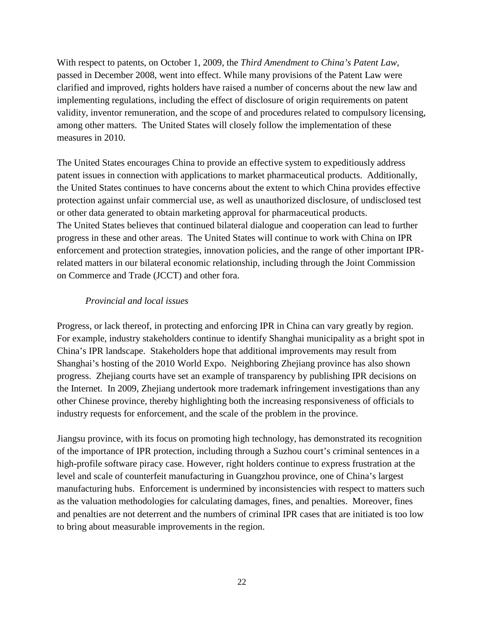With respect to patents, on October 1, 2009, the *Third Amendment to China's Patent Law*, passed in December 2008, went into effect. While many provisions of the Patent Law were clarified and improved, rights holders have raised a number of concerns about the new law and implementing regulations, including the effect of disclosure of origin requirements on patent validity, inventor remuneration, and the scope of and procedures related to compulsory licensing, among other matters. The United States will closely follow the implementation of these measures in 2010.

The United States encourages China to provide an effective system to expeditiously address patent issues in connection with applications to market pharmaceutical products. Additionally, the United States continues to have concerns about the extent to which China provides effective protection against unfair commercial use, as well as unauthorized disclosure, of undisclosed test or other data generated to obtain marketing approval for pharmaceutical products. The United States believes that continued bilateral dialogue and cooperation can lead to further progress in these and other areas. The United States will continue to work with China on IPR enforcement and protection strategies, innovation policies, and the range of other important IPRrelated matters in our bilateral economic relationship, including through the Joint Commission on Commerce and Trade (JCCT) and other fora.

## *Provincial and local issues*

Progress, or lack thereof, in protecting and enforcing IPR in China can vary greatly by region. For example, industry stakeholders continue to identify Shanghai municipality as a bright spot in China's IPR landscape. Stakeholders hope that additional improvements may result from Shanghai's hosting of the 2010 World Expo. Neighboring Zhejiang province has also shown progress. Zhejiang courts have set an example of transparency by publishing IPR decisions on the Internet. In 2009, Zhejiang undertook more trademark infringement investigations than any other Chinese province, thereby highlighting both the increasing responsiveness of officials to industry requests for enforcement, and the scale of the problem in the province.

Jiangsu province, with its focus on promoting high technology, has demonstrated its recognition of the importance of IPR protection, including through a Suzhou court's criminal sentences in a high-profile software piracy case. However, right holders continue to express frustration at the level and scale of counterfeit manufacturing in Guangzhou province, one of China's largest manufacturing hubs. Enforcement is undermined by inconsistencies with respect to matters such as the valuation methodologies for calculating damages, fines, and penalties. Moreover, fines and penalties are not deterrent and the numbers of criminal IPR cases that are initiated is too low to bring about measurable improvements in the region.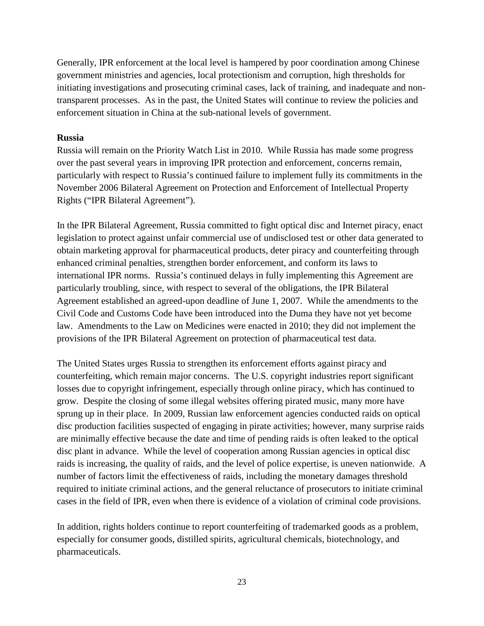Generally, IPR enforcement at the local level is hampered by poor coordination among Chinese government ministries and agencies, local protectionism and corruption, high thresholds for initiating investigations and prosecuting criminal cases, lack of training, and inadequate and nontransparent processes. As in the past, the United States will continue to review the policies and enforcement situation in China at the sub-national levels of government.

## <span id="page-26-0"></span>**Russia**

Russia will remain on the Priority Watch List in 2010. While Russia has made some progress over the past several years in improving IPR protection and enforcement, concerns remain, particularly with respect to Russia's continued failure to implement fully its commitments in the November 2006 Bilateral Agreement on Protection and Enforcement of Intellectual Property Rights ("IPR Bilateral Agreement").

In the IPR Bilateral Agreement, Russia committed to fight optical disc and Internet piracy, enact legislation to protect against unfair commercial use of undisclosed test or other data generated to obtain marketing approval for pharmaceutical products, deter piracy and counterfeiting through enhanced criminal penalties, strengthen border enforcement, and conform its laws to international IPR norms. Russia's continued delays in fully implementing this Agreement are particularly troubling, since, with respect to several of the obligations, the IPR Bilateral Agreement established an agreed-upon deadline of June 1, 2007. While the amendments to the Civil Code and Customs Code have been introduced into the Duma they have not yet become law. Amendments to the Law on Medicines were enacted in 2010; they did not implement the provisions of the IPR Bilateral Agreement on protection of pharmaceutical test data.

The United States urges Russia to strengthen its enforcement efforts against piracy and counterfeiting, which remain major concerns. The U.S. copyright industries report significant losses due to copyright infringement, especially through online piracy, which has continued to grow. Despite the closing of some illegal websites offering pirated music, many more have sprung up in their place. In 2009, Russian law enforcement agencies conducted raids on optical disc production facilities suspected of engaging in pirate activities; however, many surprise raids are minimally effective because the date and time of pending raids is often leaked to the optical disc plant in advance. While the level of cooperation among Russian agencies in optical disc raids is increasing, the quality of raids, and the level of police expertise, is uneven nationwide. A number of factors limit the effectiveness of raids, including the monetary damages threshold required to initiate criminal actions, and the general reluctance of prosecutors to initiate criminal cases in the field of IPR, even when there is evidence of a violation of criminal code provisions.

In addition, rights holders continue to report counterfeiting of trademarked goods as a problem, especially for consumer goods, distilled spirits, agricultural chemicals, biotechnology, and pharmaceuticals.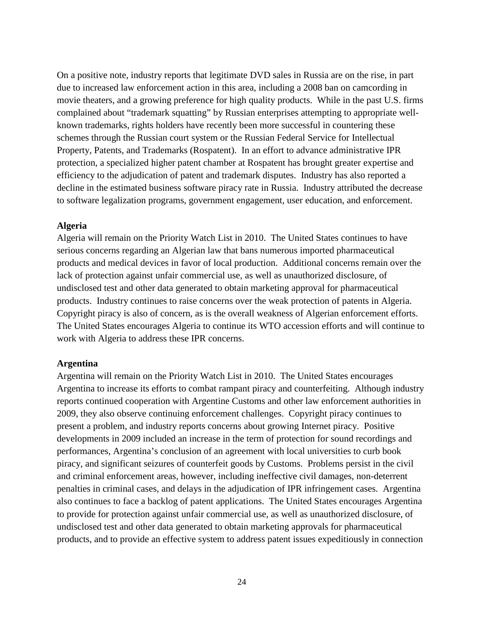On a positive note, industry reports that legitimate DVD sales in Russia are on the rise, in part due to increased law enforcement action in this area, including a 2008 ban on camcording in movie theaters, and a growing preference for high quality products. While in the past U.S. firms complained about "trademark squatting" by Russian enterprises attempting to appropriate wellknown trademarks, rights holders have recently been more successful in countering these schemes through the Russian court system or the Russian Federal Service for Intellectual Property, Patents, and Trademarks (Rospatent). In an effort to advance administrative IPR protection, a specialized higher patent chamber at Rospatent has brought greater expertise and efficiency to the adjudication of patent and trademark disputes. Industry has also reported a decline in the estimated business software piracy rate in Russia. Industry attributed the decrease to software legalization programs, government engagement, user education, and enforcement.

### <span id="page-27-0"></span>**Algeria**

Algeria will remain on the Priority Watch List in 2010. The United States continues to have serious concerns regarding an Algerian law that bans numerous imported pharmaceutical products and medical devices in favor of local production. Additional concerns remain over the lack of protection against unfair commercial use, as well as unauthorized disclosure, of undisclosed test and other data generated to obtain marketing approval for pharmaceutical products. Industry continues to raise concerns over the weak protection of patents in Algeria. Copyright piracy is also of concern, as is the overall weakness of Algerian enforcement efforts. The United States encourages Algeria to continue its WTO accession efforts and will continue to work with Algeria to address these IPR concerns.

#### <span id="page-27-1"></span>**Argentina**

Argentina will remain on the Priority Watch List in 2010. The United States encourages Argentina to increase its efforts to combat rampant piracy and counterfeiting. Although industry reports continued cooperation with Argentine Customs and other law enforcement authorities in 2009, they also observe continuing enforcement challenges. Copyright piracy continues to present a problem, and industry reports concerns about growing Internet piracy. Positive developments in 2009 included an increase in the term of protection for sound recordings and performances, Argentina's conclusion of an agreement with local universities to curb book piracy, and significant seizures of counterfeit goods by Customs. Problems persist in the civil and criminal enforcement areas, however, including ineffective civil damages, non-deterrent penalties in criminal cases, and delays in the adjudication of IPR infringement cases. Argentina also continues to face a backlog of patent applications. The United States encourages Argentina to provide for protection against unfair commercial use, as well as unauthorized disclosure, of undisclosed test and other data generated to obtain marketing approvals for pharmaceutical products, and to provide an effective system to address patent issues expeditiously in connection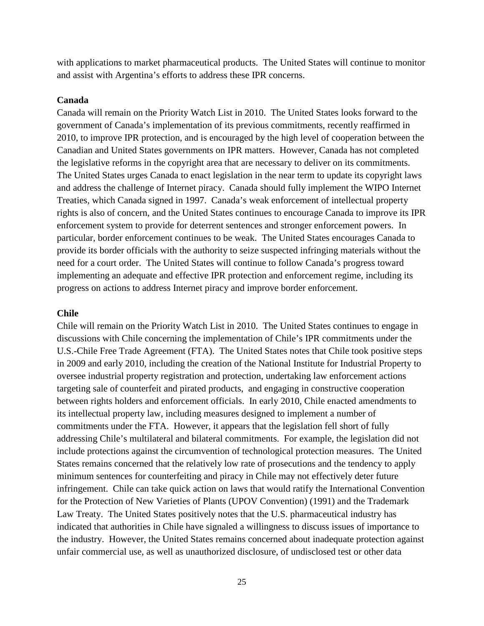with applications to market pharmaceutical products. The United States will continue to monitor and assist with Argentina's efforts to address these IPR concerns.

#### <span id="page-28-0"></span>**Canada**

Canada will remain on the Priority Watch List in 2010. The United States looks forward to the government of Canada's implementation of its previous commitments, recently reaffirmed in 2010, to improve IPR protection, and is encouraged by the high level of cooperation between the Canadian and United States governments on IPR matters. However, Canada has not completed the legislative reforms in the copyright area that are necessary to deliver on its commitments. The United States urges Canada to enact legislation in the near term to update its copyright laws and address the challenge of Internet piracy. Canada should fully implement the WIPO Internet Treaties, which Canada signed in 1997. Canada's weak enforcement of intellectual property rights is also of concern, and the United States continues to encourage Canada to improve its IPR enforcement system to provide for deterrent sentences and stronger enforcement powers. In particular, border enforcement continues to be weak. The United States encourages Canada to provide its border officials with the authority to seize suspected infringing materials without the need for a court order. The United States will continue to follow Canada's progress toward implementing an adequate and effective IPR protection and enforcement regime, including its progress on actions to address Internet piracy and improve border enforcement.

#### <span id="page-28-1"></span>**Chile**

Chile will remain on the Priority Watch List in 2010. The United States continues to engage in discussions with Chile concerning the implementation of Chile's IPR commitments under the U.S.-Chile Free Trade Agreement (FTA). The United States notes that Chile took positive steps in 2009 and early 2010, including the creation of the National Institute for Industrial Property to oversee industrial property registration and protection, undertaking law enforcement actions targeting sale of counterfeit and pirated products, and engaging in constructive cooperation between rights holders and enforcement officials. In early 2010, Chile enacted amendments to its intellectual property law, including measures designed to implement a number of commitments under the FTA. However, it appears that the legislation fell short of fully addressing Chile's multilateral and bilateral commitments. For example, the legislation did not include protections against the circumvention of technological protection measures. The United States remains concerned that the relatively low rate of prosecutions and the tendency to apply minimum sentences for counterfeiting and piracy in Chile may not effectively deter future infringement. Chile can take quick action on laws that would ratify the International Convention for the Protection of New Varieties of Plants (UPOV Convention) (1991) and the Trademark Law Treaty. The United States positively notes that the U.S. pharmaceutical industry has indicated that authorities in Chile have signaled a willingness to discuss issues of importance to the industry. However, the United States remains concerned about inadequate protection against unfair commercial use, as well as unauthorized disclosure, of undisclosed test or other data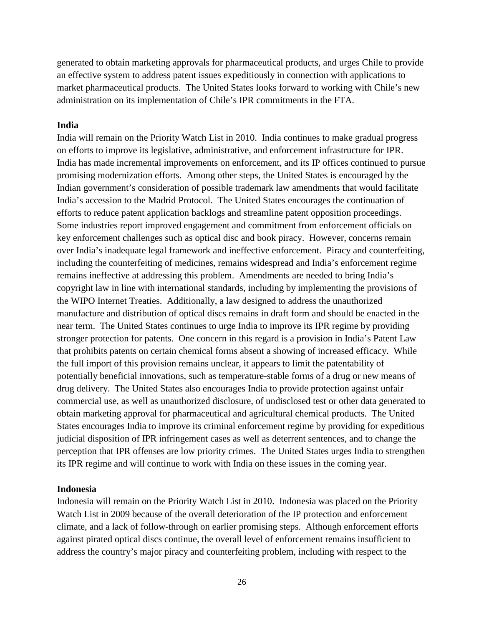generated to obtain marketing approvals for pharmaceutical products, and urges Chile to provide an effective system to address patent issues expeditiously in connection with applications to market pharmaceutical products. The United States looks forward to working with Chile's new administration on its implementation of Chile's IPR commitments in the FTA.

#### <span id="page-29-0"></span>**India**

India will remain on the Priority Watch List in 2010. India continues to make gradual progress on efforts to improve its legislative, administrative, and enforcement infrastructure for IPR. India has made incremental improvements on enforcement, and its IP offices continued to pursue promising modernization efforts. Among other steps, the United States is encouraged by the Indian government's consideration of possible trademark law amendments that would facilitate India's accession to the Madrid Protocol. The United States encourages the continuation of efforts to reduce patent application backlogs and streamline patent opposition proceedings. Some industries report improved engagement and commitment from enforcement officials on key enforcement challenges such as optical disc and book piracy. However, concerns remain over India's inadequate legal framework and ineffective enforcement. Piracy and counterfeiting, including the counterfeiting of medicines, remains widespread and India's enforcement regime remains ineffective at addressing this problem. Amendments are needed to bring India's copyright law in line with international standards, including by implementing the provisions of the WIPO Internet Treaties. Additionally, a law designed to address the unauthorized manufacture and distribution of optical discs remains in draft form and should be enacted in the near term. The United States continues to urge India to improve its IPR regime by providing stronger protection for patents. One concern in this regard is a provision in India's Patent Law that prohibits patents on certain chemical forms absent a showing of increased efficacy. While the full import of this provision remains unclear, it appears to limit the patentability of potentially beneficial innovations, such as temperature-stable forms of a drug or new means of drug delivery. The United States also encourages India to provide protection against unfair commercial use, as well as unauthorized disclosure, of undisclosed test or other data generated to obtain marketing approval for pharmaceutical and agricultural chemical products. The United States encourages India to improve its criminal enforcement regime by providing for expeditious judicial disposition of IPR infringement cases as well as deterrent sentences, and to change the perception that IPR offenses are low priority crimes. The United States urges India to strengthen its IPR regime and will continue to work with India on these issues in the coming year.

#### <span id="page-29-1"></span>**Indonesia**

Indonesia will remain on the Priority Watch List in 2010. Indonesia was placed on the Priority Watch List in 2009 because of the overall deterioration of the IP protection and enforcement climate, and a lack of follow-through on earlier promising steps. Although enforcement efforts against pirated optical discs continue, the overall level of enforcement remains insufficient to address the country's major piracy and counterfeiting problem, including with respect to the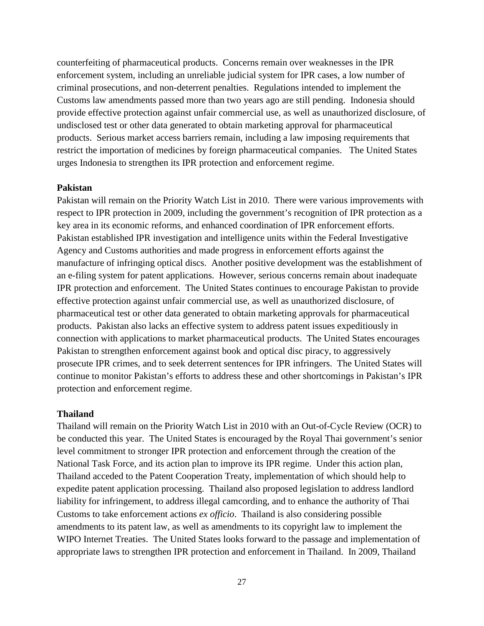counterfeiting of pharmaceutical products. Concerns remain over weaknesses in the IPR enforcement system, including an unreliable judicial system for IPR cases, a low number of criminal prosecutions, and non-deterrent penalties. Regulations intended to implement the Customs law amendments passed more than two years ago are still pending. Indonesia should provide effective protection against unfair commercial use, as well as unauthorized disclosure, of undisclosed test or other data generated to obtain marketing approval for pharmaceutical products. Serious market access barriers remain, including a law imposing requirements that restrict the importation of medicines by foreign pharmaceutical companies. The United States urges Indonesia to strengthen its IPR protection and enforcement regime.

#### <span id="page-30-0"></span>**Pakistan**

Pakistan will remain on the Priority Watch List in 2010. There were various improvements with respect to IPR protection in 2009, including the government's recognition of IPR protection as a key area in its economic reforms, and enhanced coordination of IPR enforcement efforts. Pakistan established IPR investigation and intelligence units within the Federal Investigative Agency and Customs authorities and made progress in enforcement efforts against the manufacture of infringing optical discs. Another positive development was the establishment of an e-filing system for patent applications. However, serious concerns remain about inadequate IPR protection and enforcement. The United States continues to encourage Pakistan to provide effective protection against unfair commercial use, as well as unauthorized disclosure, of pharmaceutical test or other data generated to obtain marketing approvals for pharmaceutical products. Pakistan also lacks an effective system to address patent issues expeditiously in connection with applications to market pharmaceutical products. The United States encourages Pakistan to strengthen enforcement against book and optical disc piracy, to aggressively prosecute IPR crimes, and to seek deterrent sentences for IPR infringers. The United States will continue to monitor Pakistan's efforts to address these and other shortcomings in Pakistan's IPR protection and enforcement regime.

#### <span id="page-30-1"></span>**Thailand**

Thailand will remain on the Priority Watch List in 2010 with an Out-of-Cycle Review (OCR) to be conducted this year. The United States is encouraged by the Royal Thai government's senior level commitment to stronger IPR protection and enforcement through the creation of the National Task Force, and its action plan to improve its IPR regime. Under this action plan, Thailand acceded to the Patent Cooperation Treaty, implementation of which should help to expedite patent application processing. Thailand also proposed legislation to address landlord liability for infringement, to address illegal camcording, and to enhance the authority of Thai Customs to take enforcement actions *ex officio*. Thailand is also considering possible amendments to its patent law, as well as amendments to its copyright law to implement the WIPO Internet Treaties. The United States looks forward to the passage and implementation of appropriate laws to strengthen IPR protection and enforcement in Thailand. In 2009, Thailand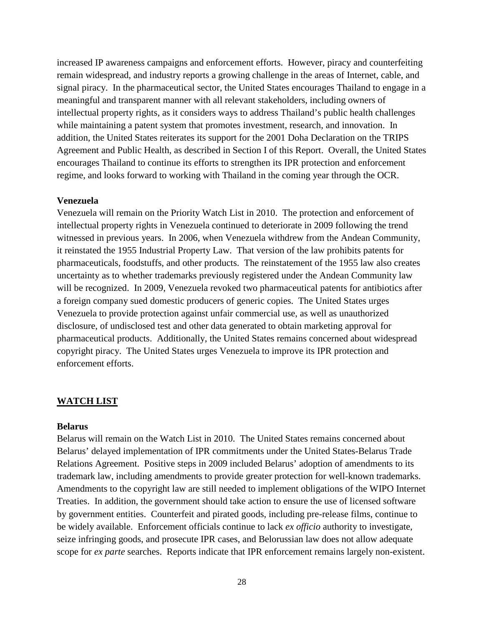increased IP awareness campaigns and enforcement efforts. However, piracy and counterfeiting remain widespread, and industry reports a growing challenge in the areas of Internet, cable, and signal piracy. In the pharmaceutical sector, the United States encourages Thailand to engage in a meaningful and transparent manner with all relevant stakeholders, including owners of intellectual property rights, as it considers ways to address Thailand's public health challenges while maintaining a patent system that promotes investment, research, and innovation. In addition, the United States reiterates its support for the 2001 Doha Declaration on the TRIPS Agreement and Public Health, as described in Section I of this Report. Overall, the United States encourages Thailand to continue its efforts to strengthen its IPR protection and enforcement regime, and looks forward to working with Thailand in the coming year through the OCR.

#### <span id="page-31-0"></span>**Venezuela**

Venezuela will remain on the Priority Watch List in 2010. The protection and enforcement of intellectual property rights in Venezuela continued to deteriorate in 2009 following the trend witnessed in previous years. In 2006, when Venezuela withdrew from the Andean Community, it reinstated the 1955 Industrial Property Law. That version of the law prohibits patents for pharmaceuticals, foodstuffs, and other products. The reinstatement of the 1955 law also creates uncertainty as to whether trademarks previously registered under the Andean Community law will be recognized. In 2009, Venezuela revoked two pharmaceutical patents for antibiotics after a foreign company sued domestic producers of generic copies. The United States urges Venezuela to provide protection against unfair commercial use, as well as unauthorized disclosure, of undisclosed test and other data generated to obtain marketing approval for pharmaceutical products. Additionally, the United States remains concerned about widespread copyright piracy. The United States urges Venezuela to improve its IPR protection and enforcement efforts.

#### <span id="page-31-2"></span><span id="page-31-1"></span>**WATCH LIST**

#### **Belarus**

Belarus will remain on the Watch List in 2010. The United States remains concerned about Belarus' delayed implementation of IPR commitments under the United States-Belarus Trade Relations Agreement. Positive steps in 2009 included Belarus' adoption of amendments to its trademark law, including amendments to provide greater protection for well-known trademarks. Amendments to the copyright law are still needed to implement obligations of the WIPO Internet Treaties. In addition, the government should take action to ensure the use of licensed software by government entities. Counterfeit and pirated goods, including pre-release films, continue to be widely available. Enforcement officials continue to lack *ex officio* authority to investigate, seize infringing goods, and prosecute IPR cases, and Belorussian law does not allow adequate scope for *ex parte* searches. Reports indicate that IPR enforcement remains largely non-existent.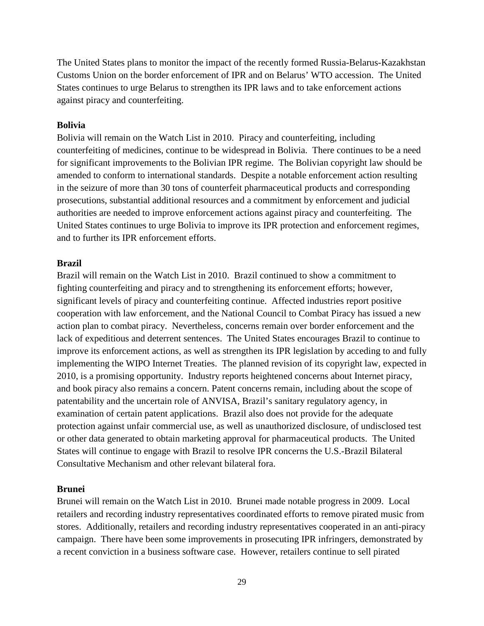The United States plans to monitor the impact of the recently formed Russia-Belarus-Kazakhstan Customs Union on the border enforcement of IPR and on Belarus' WTO accession. The United States continues to urge Belarus to strengthen its IPR laws and to take enforcement actions against piracy and counterfeiting.

## <span id="page-32-0"></span>**Bolivia**

Bolivia will remain on the Watch List in 2010. Piracy and counterfeiting, including counterfeiting of medicines, continue to be widespread in Bolivia. There continues to be a need for significant improvements to the Bolivian IPR regime. The Bolivian copyright law should be amended to conform to international standards. Despite a notable enforcement action resulting in the seizure of more than 30 tons of counterfeit pharmaceutical products and corresponding prosecutions, substantial additional resources and a commitment by enforcement and judicial authorities are needed to improve enforcement actions against piracy and counterfeiting. The United States continues to urge Bolivia to improve its IPR protection and enforcement regimes, and to further its IPR enforcement efforts.

## <span id="page-32-1"></span>**Brazil**

Brazil will remain on the Watch List in 2010. Brazil continued to show a commitment to fighting counterfeiting and piracy and to strengthening its enforcement efforts; however, significant levels of piracy and counterfeiting continue. Affected industries report positive cooperation with law enforcement, and the National Council to Combat Piracy has issued a new action plan to combat piracy. Nevertheless, concerns remain over border enforcement and the lack of expeditious and deterrent sentences. The United States encourages Brazil to continue to improve its enforcement actions, as well as strengthen its IPR legislation by acceding to and fully implementing the WIPO Internet Treaties. The planned revision of its copyright law, expected in 2010, is a promising opportunity. Industry reports heightened concerns about Internet piracy, and book piracy also remains a concern. Patent concerns remain, including about the scope of patentability and the uncertain role of ANVISA, Brazil's sanitary regulatory agency, in examination of certain patent applications. Brazil also does not provide for the adequate protection against unfair commercial use, as well as unauthorized disclosure, of undisclosed test or other data generated to obtain marketing approval for pharmaceutical products. The United States will continue to engage with Brazil to resolve IPR concerns the U.S.-Brazil Bilateral Consultative Mechanism and other relevant bilateral fora.

## <span id="page-32-2"></span>**Brunei**

Brunei will remain on the Watch List in 2010. Brunei made notable progress in 2009. Local retailers and recording industry representatives coordinated efforts to remove pirated music from stores. Additionally, retailers and recording industry representatives cooperated in an anti-piracy campaign. There have been some improvements in prosecuting IPR infringers, demonstrated by a recent conviction in a business software case. However, retailers continue to sell pirated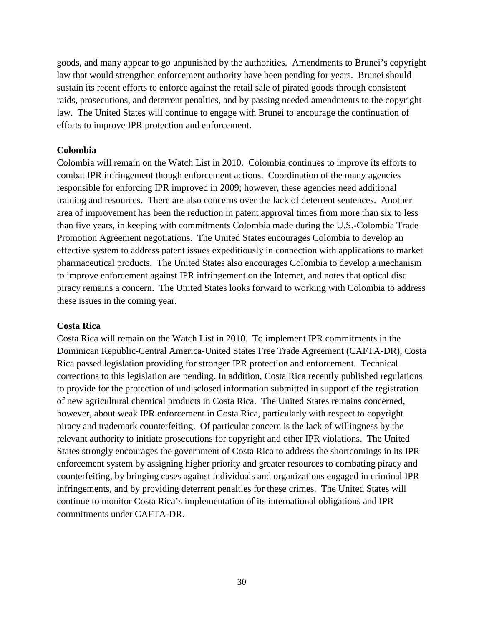goods, and many appear to go unpunished by the authorities. Amendments to Brunei's copyright law that would strengthen enforcement authority have been pending for years. Brunei should sustain its recent efforts to enforce against the retail sale of pirated goods through consistent raids, prosecutions, and deterrent penalties, and by passing needed amendments to the copyright law. The United States will continue to engage with Brunei to encourage the continuation of efforts to improve IPR protection and enforcement.

## <span id="page-33-0"></span>**Colombia**

Colombia will remain on the Watch List in 2010. Colombia continues to improve its efforts to combat IPR infringement though enforcement actions. Coordination of the many agencies responsible for enforcing IPR improved in 2009; however, these agencies need additional training and resources. There are also concerns over the lack of deterrent sentences. Another area of improvement has been the reduction in patent approval times from more than six to less than five years, in keeping with commitments Colombia made during the U.S.-Colombia Trade Promotion Agreement negotiations. The United States encourages Colombia to develop an effective system to address patent issues expeditiously in connection with applications to market pharmaceutical products. The United States also encourages Colombia to develop a mechanism to improve enforcement against IPR infringement on the Internet, and notes that optical disc piracy remains a concern. The United States looks forward to working with Colombia to address these issues in the coming year.

## <span id="page-33-1"></span>**Costa Rica**

Costa Rica will remain on the Watch List in 2010. To implement IPR commitments in the Dominican Republic-Central America-United States Free Trade Agreement (CAFTA-DR), Costa Rica passed legislation providing for stronger IPR protection and enforcement. Technical corrections to this legislation are pending. In addition, Costa Rica recently published regulations to provide for the protection of undisclosed information submitted in support of the registration of new agricultural chemical products in Costa Rica. The United States remains concerned, however, about weak IPR enforcement in Costa Rica, particularly with respect to copyright piracy and trademark counterfeiting. Of particular concern is the lack of willingness by the relevant authority to initiate prosecutions for copyright and other IPR violations. The United States strongly encourages the government of Costa Rica to address the shortcomings in its IPR enforcement system by assigning higher priority and greater resources to combating piracy and counterfeiting, by bringing cases against individuals and organizations engaged in criminal IPR infringements, and by providing deterrent penalties for these crimes. The United States will continue to monitor Costa Rica's implementation of its international obligations and IPR commitments under CAFTA-DR.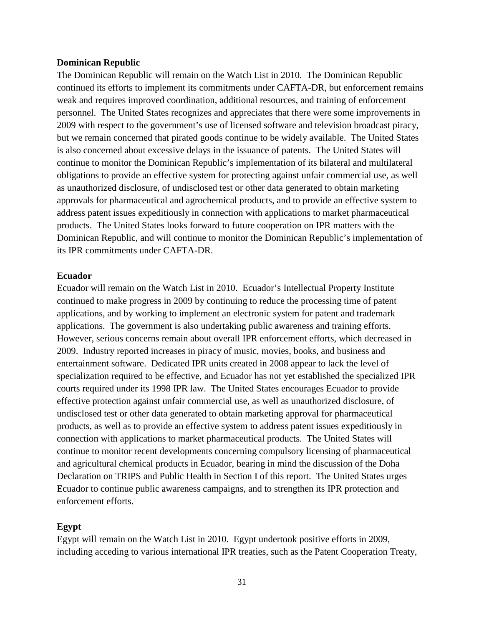## <span id="page-34-0"></span>**Dominican Republic**

The Dominican Republic will remain on the Watch List in 2010. The Dominican Republic continued its efforts to implement its commitments under CAFTA-DR, but enforcement remains weak and requires improved coordination, additional resources, and training of enforcement personnel. The United States recognizes and appreciates that there were some improvements in 2009 with respect to the government's use of licensed software and television broadcast piracy, but we remain concerned that pirated goods continue to be widely available. The United States is also concerned about excessive delays in the issuance of patents. The United States will continue to monitor the Dominican Republic's implementation of its bilateral and multilateral obligations to provide an effective system for protecting against unfair commercial use, as well as unauthorized disclosure, of undisclosed test or other data generated to obtain marketing approvals for pharmaceutical and agrochemical products, and to provide an effective system to address patent issues expeditiously in connection with applications to market pharmaceutical products. The United States looks forward to future cooperation on IPR matters with the Dominican Republic, and will continue to monitor the Dominican Republic's implementation of its IPR commitments under CAFTA-DR.

## <span id="page-34-1"></span>**Ecuador**

Ecuador will remain on the Watch List in 2010. Ecuador's Intellectual Property Institute continued to make progress in 2009 by continuing to reduce the processing time of patent applications, and by working to implement an electronic system for patent and trademark applications. The government is also undertaking public awareness and training efforts. However, serious concerns remain about overall IPR enforcement efforts, which decreased in 2009. Industry reported increases in piracy of music, movies, books, and business and entertainment software. Dedicated IPR units created in 2008 appear to lack the level of specialization required to be effective, and Ecuador has not yet established the specialized IPR courts required under its 1998 IPR law. The United States encourages Ecuador to provide effective protection against unfair commercial use, as well as unauthorized disclosure, of undisclosed test or other data generated to obtain marketing approval for pharmaceutical products, as well as to provide an effective system to address patent issues expeditiously in connection with applications to market pharmaceutical products. The United States will continue to monitor recent developments concerning compulsory licensing of pharmaceutical and agricultural chemical products in Ecuador, bearing in mind the discussion of the Doha Declaration on TRIPS and Public Health in Section I of this report. The United States urges Ecuador to continue public awareness campaigns, and to strengthen its IPR protection and enforcement efforts.

## <span id="page-34-2"></span>**Egypt**

Egypt will remain on the Watch List in 2010. Egypt undertook positive efforts in 2009, including acceding to various international IPR treaties, such as the Patent Cooperation Treaty,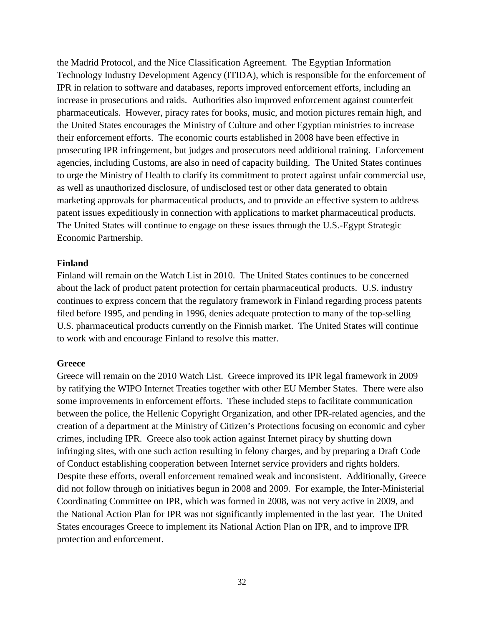the Madrid Protocol, and the Nice Classification Agreement. The Egyptian Information Technology Industry Development Agency (ITIDA), which is responsible for the enforcement of IPR in relation to software and databases, reports improved enforcement efforts, including an increase in prosecutions and raids. Authorities also improved enforcement against counterfeit pharmaceuticals. However, piracy rates for books, music, and motion pictures remain high, and the United States encourages the Ministry of Culture and other Egyptian ministries to increase their enforcement efforts. The economic courts established in 2008 have been effective in prosecuting IPR infringement, but judges and prosecutors need additional training. Enforcement agencies, including Customs, are also in need of capacity building. The United States continues to urge the Ministry of Health to clarify its commitment to protect against unfair commercial use, as well as unauthorized disclosure, of undisclosed test or other data generated to obtain marketing approvals for pharmaceutical products, and to provide an effective system to address patent issues expeditiously in connection with applications to market pharmaceutical products. The United States will continue to engage on these issues through the U.S.-Egypt Strategic Economic Partnership.

### <span id="page-35-0"></span>**Finland**

Finland will remain on the Watch List in 2010. The United States continues to be concerned about the lack of product patent protection for certain pharmaceutical products. U.S. industry continues to express concern that the regulatory framework in Finland regarding process patents filed before 1995, and pending in 1996, denies adequate protection to many of the top-selling U.S. pharmaceutical products currently on the Finnish market. The United States will continue to work with and encourage Finland to resolve this matter.

#### <span id="page-35-1"></span>**Greece**

Greece will remain on the 2010 Watch List. Greece improved its IPR legal framework in 2009 by ratifying the WIPO Internet Treaties together with other EU Member States. There were also some improvements in enforcement efforts. These included steps to facilitate communication between the police, the Hellenic Copyright Organization, and other IPR-related agencies, and the creation of a department at the Ministry of Citizen's Protections focusing on economic and cyber crimes, including IPR. Greece also took action against Internet piracy by shutting down infringing sites, with one such action resulting in felony charges, and by preparing a Draft Code of Conduct establishing cooperation between Internet service providers and rights holders. Despite these efforts, overall enforcement remained weak and inconsistent. Additionally, Greece did not follow through on initiatives begun in 2008 and 2009. For example, the Inter-Ministerial Coordinating Committee on IPR, which was formed in 2008, was not very active in 2009, and the National Action Plan for IPR was not significantly implemented in the last year. The United States encourages Greece to implement its National Action Plan on IPR, and to improve IPR protection and enforcement.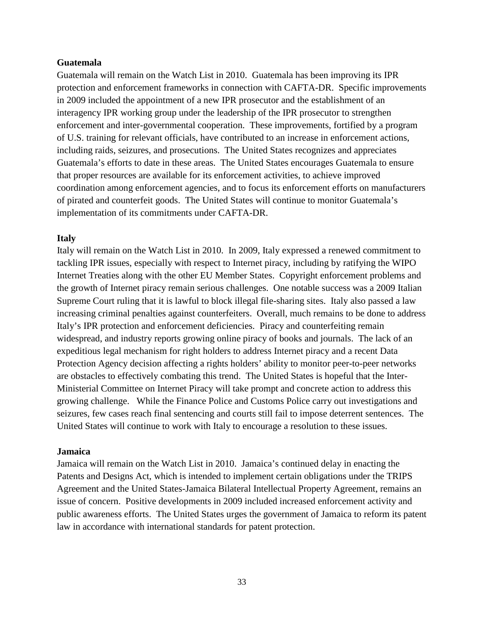## <span id="page-36-0"></span>**Guatemala**

Guatemala will remain on the Watch List in 2010. Guatemala has been improving its IPR protection and enforcement frameworks in connection with CAFTA-DR. Specific improvements in 2009 included the appointment of a new IPR prosecutor and the establishment of an interagency IPR working group under the leadership of the IPR prosecutor to strengthen enforcement and inter-governmental cooperation. These improvements, fortified by a program of U.S. training for relevant officials, have contributed to an increase in enforcement actions, including raids, seizures, and prosecutions. The United States recognizes and appreciates Guatemala's efforts to date in these areas. The United States encourages Guatemala to ensure that proper resources are available for its enforcement activities, to achieve improved coordination among enforcement agencies, and to focus its enforcement efforts on manufacturers of pirated and counterfeit goods. The United States will continue to monitor Guatemala's implementation of its commitments under CAFTA-DR.

## <span id="page-36-1"></span>**Italy**

Italy will remain on the Watch List in 2010. In 2009, Italy expressed a renewed commitment to tackling IPR issues, especially with respect to Internet piracy, including by ratifying the WIPO Internet Treaties along with the other EU Member States. Copyright enforcement problems and the growth of Internet piracy remain serious challenges. One notable success was a 2009 Italian Supreme Court ruling that it is lawful to block illegal file-sharing sites. Italy also passed a law increasing criminal penalties against counterfeiters. Overall, much remains to be done to address Italy's IPR protection and enforcement deficiencies. Piracy and counterfeiting remain widespread, and industry reports growing online piracy of books and journals. The lack of an expeditious legal mechanism for right holders to address Internet piracy and a recent Data Protection Agency decision affecting a rights holders' ability to monitor peer-to-peer networks are obstacles to effectively combating this trend. The United States is hopeful that the Inter-Ministerial Committee on Internet Piracy will take prompt and concrete action to address this growing challenge. While the Finance Police and Customs Police carry out investigations and seizures, few cases reach final sentencing and courts still fail to impose deterrent sentences. The United States will continue to work with Italy to encourage a resolution to these issues.

### <span id="page-36-2"></span>**Jamaica**

Jamaica will remain on the Watch List in 2010. Jamaica's continued delay in enacting the Patents and Designs Act, which is intended to implement certain obligations under the TRIPS Agreement and the United States-Jamaica Bilateral Intellectual Property Agreement, remains an issue of concern. Positive developments in 2009 included increased enforcement activity and public awareness efforts. The United States urges the government of Jamaica to reform its patent law in accordance with international standards for patent protection.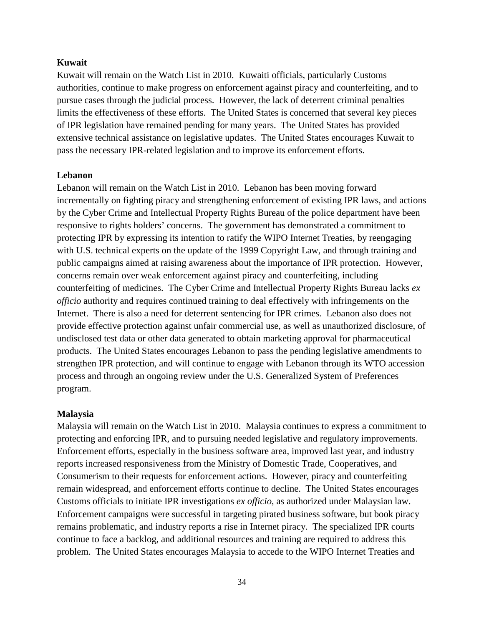#### <span id="page-37-0"></span>**Kuwait**

Kuwait will remain on the Watch List in 2010. Kuwaiti officials, particularly Customs authorities, continue to make progress on enforcement against piracy and counterfeiting, and to pursue cases through the judicial process. However, the lack of deterrent criminal penalties limits the effectiveness of these efforts. The United States is concerned that several key pieces of IPR legislation have remained pending for many years. The United States has provided extensive technical assistance on legislative updates. The United States encourages Kuwait to pass the necessary IPR-related legislation and to improve its enforcement efforts.

#### <span id="page-37-1"></span>**Lebanon**

Lebanon will remain on the Watch List in 2010. Lebanon has been moving forward incrementally on fighting piracy and strengthening enforcement of existing IPR laws, and actions by the Cyber Crime and Intellectual Property Rights Bureau of the police department have been responsive to rights holders' concerns. The government has demonstrated a commitment to protecting IPR by expressing its intention to ratify the WIPO Internet Treaties, by reengaging with U.S. technical experts on the update of the 1999 Copyright Law, and through training and public campaigns aimed at raising awareness about the importance of IPR protection. However, concerns remain over weak enforcement against piracy and counterfeiting, including counterfeiting of medicines. The Cyber Crime and Intellectual Property Rights Bureau lacks *ex officio* authority and requires continued training to deal effectively with infringements on the Internet. There is also a need for deterrent sentencing for IPR crimes. Lebanon also does not provide effective protection against unfair commercial use, as well as unauthorized disclosure, of undisclosed test data or other data generated to obtain marketing approval for pharmaceutical products. The United States encourages Lebanon to pass the pending legislative amendments to strengthen IPR protection, and will continue to engage with Lebanon through its WTO accession process and through an ongoing review under the U.S. Generalized System of Preferences program.

#### <span id="page-37-2"></span>**Malaysia**

Malaysia will remain on the Watch List in 2010. Malaysia continues to express a commitment to protecting and enforcing IPR, and to pursuing needed legislative and regulatory improvements. Enforcement efforts, especially in the business software area, improved last year, and industry reports increased responsiveness from the Ministry of Domestic Trade, Cooperatives, and Consumerism to their requests for enforcement actions. However, piracy and counterfeiting remain widespread, and enforcement efforts continue to decline. The United States encourages Customs officials to initiate IPR investigations *ex officio*, as authorized under Malaysian law. Enforcement campaigns were successful in targeting pirated business software, but book piracy remains problematic, and industry reports a rise in Internet piracy. The specialized IPR courts continue to face a backlog, and additional resources and training are required to address this problem. The United States encourages Malaysia to accede to the WIPO Internet Treaties and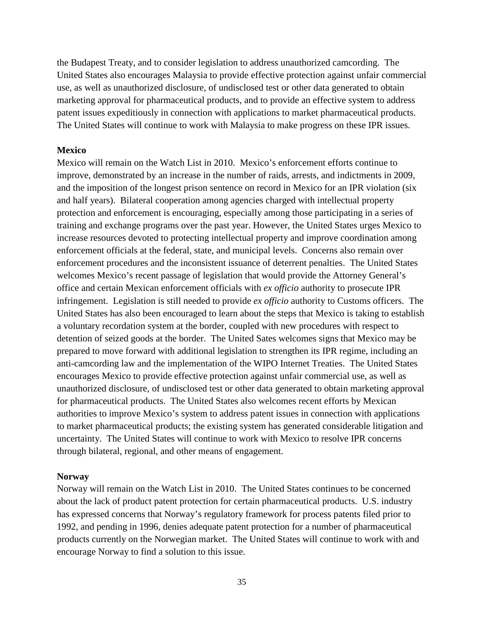the Budapest Treaty, and to consider legislation to address unauthorized camcording. The United States also encourages Malaysia to provide effective protection against unfair commercial use, as well as unauthorized disclosure, of undisclosed test or other data generated to obtain marketing approval for pharmaceutical products, and to provide an effective system to address patent issues expeditiously in connection with applications to market pharmaceutical products. The United States will continue to work with Malaysia to make progress on these IPR issues.

#### <span id="page-38-0"></span>**Mexico**

Mexico will remain on the Watch List in 2010. Mexico's enforcement efforts continue to improve, demonstrated by an increase in the number of raids, arrests, and indictments in 2009, and the imposition of the longest prison sentence on record in Mexico for an IPR violation (six and half years). Bilateral cooperation among agencies charged with intellectual property protection and enforcement is encouraging, especially among those participating in a series of training and exchange programs over the past year. However, the United States urges Mexico to increase resources devoted to protecting intellectual property and improve coordination among enforcement officials at the federal, state, and municipal levels. Concerns also remain over enforcement procedures and the inconsistent issuance of deterrent penalties. The United States welcomes Mexico's recent passage of legislation that would provide the Attorney General's office and certain Mexican enforcement officials with *ex officio* authority to prosecute IPR infringement. Legislation is still needed to provide *ex officio* authority to Customs officers. The United States has also been encouraged to learn about the steps that Mexico is taking to establish a voluntary recordation system at the border, coupled with new procedures with respect to detention of seized goods at the border. The United Sates welcomes signs that Mexico may be prepared to move forward with additional legislation to strengthen its IPR regime, including an anti-camcording law and the implementation of the WIPO Internet Treaties. The United States encourages Mexico to provide effective protection against unfair commercial use, as well as unauthorized disclosure, of undisclosed test or other data generated to obtain marketing approval for pharmaceutical products. The United States also welcomes recent efforts by Mexican authorities to improve Mexico's system to address patent issues in connection with applications to market pharmaceutical products; the existing system has generated considerable litigation and uncertainty. The United States will continue to work with Mexico to resolve IPR concerns through bilateral, regional, and other means of engagement.

#### <span id="page-38-1"></span>**Norway**

Norway will remain on the Watch List in 2010. The United States continues to be concerned about the lack of product patent protection for certain pharmaceutical products. U.S. industry has expressed concerns that Norway's regulatory framework for process patents filed prior to 1992, and pending in 1996, denies adequate patent protection for a number of pharmaceutical products currently on the Norwegian market. The United States will continue to work with and encourage Norway to find a solution to this issue.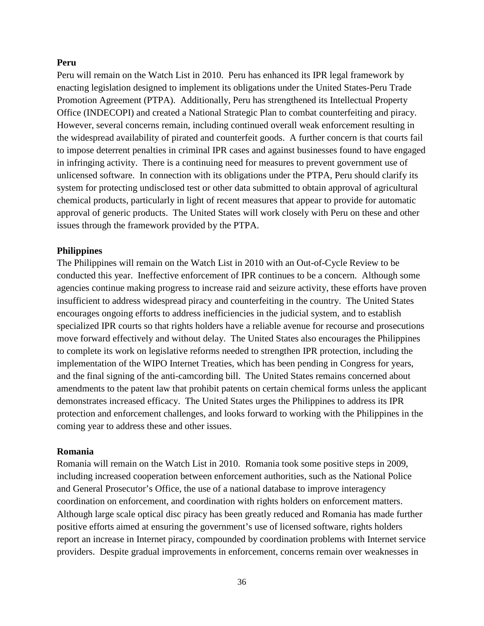## <span id="page-39-0"></span>**Peru**

Peru will remain on the Watch List in 2010. Peru has enhanced its IPR legal framework by enacting legislation designed to implement its obligations under the United States-Peru Trade Promotion Agreement (PTPA). Additionally, Peru has strengthened its Intellectual Property Office (INDECOPI) and created a National Strategic Plan to combat counterfeiting and piracy. However, several concerns remain, including continued overall weak enforcement resulting in the widespread availability of pirated and counterfeit goods. A further concern is that courts fail to impose deterrent penalties in criminal IPR cases and against businesses found to have engaged in infringing activity. There is a continuing need for measures to prevent government use of unlicensed software. In connection with its obligations under the PTPA, Peru should clarify its system for protecting undisclosed test or other data submitted to obtain approval of agricultural chemical products, particularly in light of recent measures that appear to provide for automatic approval of generic products. The United States will work closely with Peru on these and other issues through the framework provided by the PTPA.

## <span id="page-39-1"></span>**Philippines**

The Philippines will remain on the Watch List in 2010 with an Out-of-Cycle Review to be conducted this year. Ineffective enforcement of IPR continues to be a concern. Although some agencies continue making progress to increase raid and seizure activity, these efforts have proven insufficient to address widespread piracy and counterfeiting in the country. The United States encourages ongoing efforts to address inefficiencies in the judicial system, and to establish specialized IPR courts so that rights holders have a reliable avenue for recourse and prosecutions move forward effectively and without delay. The United States also encourages the Philippines to complete its work on legislative reforms needed to strengthen IPR protection, including the implementation of the WIPO Internet Treaties, which has been pending in Congress for years, and the final signing of the anti-camcording bill. The United States remains concerned about amendments to the patent law that prohibit patents on certain chemical forms unless the applicant demonstrates increased efficacy. The United States urges the Philippines to address its IPR protection and enforcement challenges, and looks forward to working with the Philippines in the coming year to address these and other issues.

### <span id="page-39-2"></span>**Romania**

Romania will remain on the Watch List in 2010. Romania took some positive steps in 2009, including increased cooperation between enforcement authorities, such as the National Police and General Prosecutor's Office, the use of a national database to improve interagency coordination on enforcement, and coordination with rights holders on enforcement matters. Although large scale optical disc piracy has been greatly reduced and Romania has made further positive efforts aimed at ensuring the government's use of licensed software, rights holders report an increase in Internet piracy, compounded by coordination problems with Internet service providers. Despite gradual improvements in enforcement, concerns remain over weaknesses in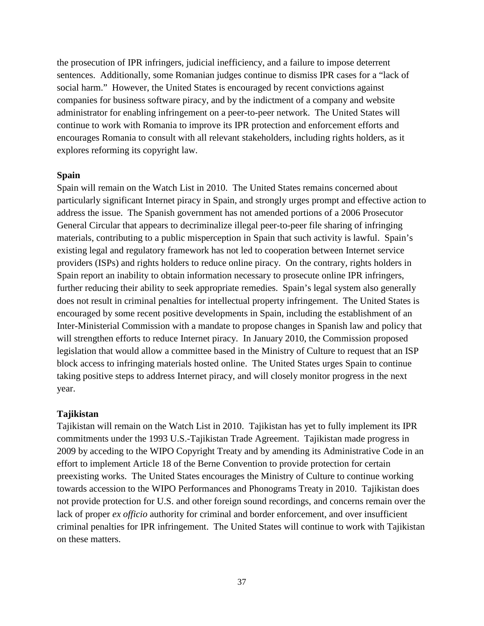the prosecution of IPR infringers, judicial inefficiency, and a failure to impose deterrent sentences. Additionally, some Romanian judges continue to dismiss IPR cases for a "lack of social harm." However, the United States is encouraged by recent convictions against companies for business software piracy, and by the indictment of a company and website administrator for enabling infringement on a peer-to-peer network. The United States will continue to work with Romania to improve its IPR protection and enforcement efforts and encourages Romania to consult with all relevant stakeholders, including rights holders, as it explores reforming its copyright law.

#### <span id="page-40-0"></span>**Spain**

Spain will remain on the Watch List in 2010. The United States remains concerned about particularly significant Internet piracy in Spain, and strongly urges prompt and effective action to address the issue. The Spanish government has not amended portions of a 2006 Prosecutor General Circular that appears to decriminalize illegal peer-to-peer file sharing of infringing materials, contributing to a public misperception in Spain that such activity is lawful. Spain's existing legal and regulatory framework has not led to cooperation between Internet service providers (ISPs) and rights holders to reduce online piracy. On the contrary, rights holders in Spain report an inability to obtain information necessary to prosecute online IPR infringers, further reducing their ability to seek appropriate remedies. Spain's legal system also generally does not result in criminal penalties for intellectual property infringement. The United States is encouraged by some recent positive developments in Spain, including the establishment of an Inter-Ministerial Commission with a mandate to propose changes in Spanish law and policy that will strengthen efforts to reduce Internet piracy. In January 2010, the Commission proposed legislation that would allow a committee based in the Ministry of Culture to request that an ISP block access to infringing materials hosted online. The United States urges Spain to continue taking positive steps to address Internet piracy, and will closely monitor progress in the next year.

#### <span id="page-40-1"></span>**Tajikistan**

Tajikistan will remain on the Watch List in 2010. Tajikistan has yet to fully implement its IPR commitments under the 1993 U.S.-Tajikistan Trade Agreement. Tajikistan made progress in 2009 by acceding to the WIPO Copyright Treaty and by amending its Administrative Code in an effort to implement Article 18 of the Berne Convention to provide protection for certain preexisting works. The United States encourages the Ministry of Culture to continue working towards accession to the WIPO Performances and Phonograms Treaty in 2010. Tajikistan does not provide protection for U.S. and other foreign sound recordings, and concerns remain over the lack of proper *ex officio* authority for criminal and border enforcement, and over insufficient criminal penalties for IPR infringement. The United States will continue to work with Tajikistan on these matters.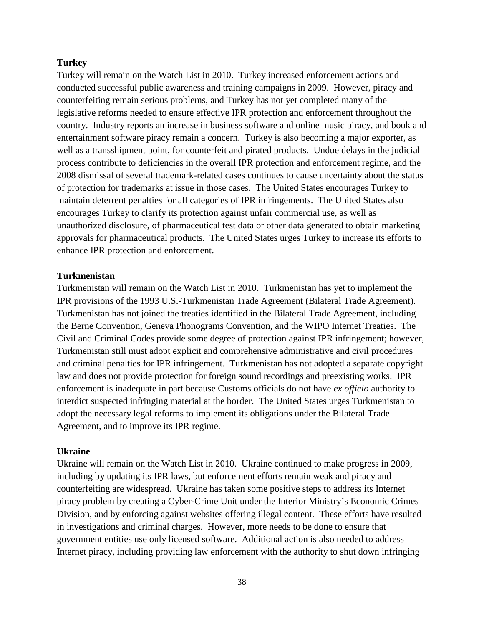## <span id="page-41-0"></span>**Turkey**

Turkey will remain on the Watch List in 2010. Turkey increased enforcement actions and conducted successful public awareness and training campaigns in 2009. However, piracy and counterfeiting remain serious problems, and Turkey has not yet completed many of the legislative reforms needed to ensure effective IPR protection and enforcement throughout the country. Industry reports an increase in business software and online music piracy, and book and entertainment software piracy remain a concern. Turkey is also becoming a major exporter, as well as a transshipment point, for counterfeit and pirated products. Undue delays in the judicial process contribute to deficiencies in the overall IPR protection and enforcement regime, and the 2008 dismissal of several trademark-related cases continues to cause uncertainty about the status of protection for trademarks at issue in those cases. The United States encourages Turkey to maintain deterrent penalties for all categories of IPR infringements. The United States also encourages Turkey to clarify its protection against unfair commercial use, as well as unauthorized disclosure, of pharmaceutical test data or other data generated to obtain marketing approvals for pharmaceutical products. The United States urges Turkey to increase its efforts to enhance IPR protection and enforcement.

## <span id="page-41-1"></span>**Turkmenistan**

Turkmenistan will remain on the Watch List in 2010. Turkmenistan has yet to implement the IPR provisions of the 1993 U.S.-Turkmenistan Trade Agreement (Bilateral Trade Agreement). Turkmenistan has not joined the treaties identified in the Bilateral Trade Agreement, including the Berne Convention, Geneva Phonograms Convention, and the WIPO Internet Treaties. The Civil and Criminal Codes provide some degree of protection against IPR infringement; however, Turkmenistan still must adopt explicit and comprehensive administrative and civil procedures and criminal penalties for IPR infringement. Turkmenistan has not adopted a separate copyright law and does not provide protection for foreign sound recordings and preexisting works. IPR enforcement is inadequate in part because Customs officials do not have *ex officio* authority to interdict suspected infringing material at the border. The United States urges Turkmenistan to adopt the necessary legal reforms to implement its obligations under the Bilateral Trade Agreement, and to improve its IPR regime.

### <span id="page-41-2"></span>**Ukraine**

Ukraine will remain on the Watch List in 2010. Ukraine continued to make progress in 2009, including by updating its IPR laws, but enforcement efforts remain weak and piracy and counterfeiting are widespread. Ukraine has taken some positive steps to address its Internet piracy problem by creating a Cyber-Crime Unit under the Interior Ministry's Economic Crimes Division, and by enforcing against websites offering illegal content. These efforts have resulted in investigations and criminal charges. However, more needs to be done to ensure that government entities use only licensed software. Additional action is also needed to address Internet piracy, including providing law enforcement with the authority to shut down infringing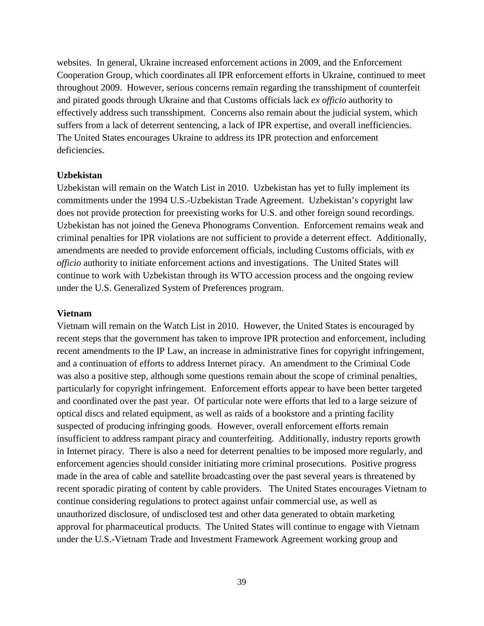websites. In general, Ukraine increased enforcement actions in 2009, and the Enforcement Cooperation Group, which coordinates all IPR enforcement efforts in Ukraine, continued to meet throughout 2009. However, serious concerns remain regarding the transshipment of counterfeit and pirated goods through Ukraine and that Customs officials lack *ex officio* authority to effectively address such transshipment. Concerns also remain about the judicial system, which suffers from a lack of deterrent sentencing, a lack of IPR expertise, and overall inefficiencies. The United States encourages Ukraine to address its IPR protection and enforcement deficiencies.

#### <span id="page-42-0"></span>**Uzbekistan**

Uzbekistan will remain on the Watch List in 2010. Uzbekistan has yet to fully implement its commitments under the 1994 U.S.-Uzbekistan Trade Agreement. Uzbekistan's copyright law does not provide protection for preexisting works for U.S. and other foreign sound recordings. Uzbekistan has not joined the Geneva Phonograms Convention. Enforcement remains weak and criminal penalties for IPR violations are not sufficient to provide a deterrent effect. Additionally, amendments are needed to provide enforcement officials, including Customs officials, with *ex officio* authority to initiate enforcement actions and investigations. The United States will continue to work with Uzbekistan through its WTO accession process and the ongoing review under the U.S. Generalized System of Preferences program.

#### <span id="page-42-1"></span>**Vietnam**

Vietnam will remain on the Watch List in 2010. However, the United States is encouraged by recent steps that the government has taken to improve IPR protection and enforcement, including recent amendments to the IP Law, an increase in administrative fines for copyright infringement, and a continuation of efforts to address Internet piracy. An amendment to the Criminal Code was also a positive step, although some questions remain about the scope of criminal penalties, particularly for copyright infringement. Enforcement efforts appear to have been better targeted and coordinated over the past year. Of particular note were efforts that led to a large seizure of optical discs and related equipment, as well as raids of a bookstore and a printing facility suspected of producing infringing goods. However, overall enforcement efforts remain insufficient to address rampant piracy and counterfeiting. Additionally, industry reports growth in Internet piracy. There is also a need for deterrent penalties to be imposed more regularly, and enforcement agencies should consider initiating more criminal prosecutions. Positive progress made in the area of cable and satellite broadcasting over the past several years is threatened by recent sporadic pirating of content by cable providers. The United States encourages Vietnam to continue considering regulations to protect against unfair commercial use, as well as unauthorized disclosure, of undisclosed test and other data generated to obtain marketing approval for pharmaceutical products. The United States will continue to engage with Vietnam under the U.S.-Vietnam Trade and Investment Framework Agreement working group and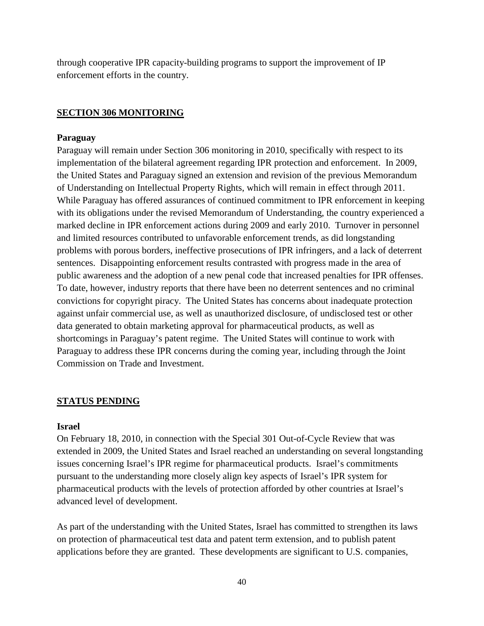through cooperative IPR capacity-building programs to support the improvement of IP enforcement efforts in the country.

## <span id="page-43-1"></span><span id="page-43-0"></span>**SECTION 306 MONITORING**

## **Paraguay**

Paraguay will remain under Section 306 monitoring in 2010, specifically with respect to its implementation of the bilateral agreement regarding IPR protection and enforcement. In 2009, the United States and Paraguay signed an extension and revision of the previous Memorandum of Understanding on Intellectual Property Rights, which will remain in effect through 2011. While Paraguay has offered assurances of continued commitment to IPR enforcement in keeping with its obligations under the revised Memorandum of Understanding, the country experienced a marked decline in IPR enforcement actions during 2009 and early 2010. Turnover in personnel and limited resources contributed to unfavorable enforcement trends, as did longstanding problems with porous borders, ineffective prosecutions of IPR infringers, and a lack of deterrent sentences. Disappointing enforcement results contrasted with progress made in the area of public awareness and the adoption of a new penal code that increased penalties for IPR offenses. To date, however, industry reports that there have been no deterrent sentences and no criminal convictions for copyright piracy. The United States has concerns about inadequate protection against unfair commercial use, as well as unauthorized disclosure, of undisclosed test or other data generated to obtain marketing approval for pharmaceutical products, as well as shortcomings in Paraguay's patent regime. The United States will continue to work with Paraguay to address these IPR concerns during the coming year, including through the Joint Commission on Trade and Investment.

## <span id="page-43-3"></span><span id="page-43-2"></span>**STATUS PENDING**

### **Israel**

On February 18, 2010, in connection with the Special 301 Out-of-Cycle Review that was extended in 2009, the United States and Israel reached an understanding on several longstanding issues concerning Israel's IPR regime for pharmaceutical products. Israel's commitments pursuant to the understanding more closely align key aspects of Israel's IPR system for pharmaceutical products with the levels of protection afforded by other countries at Israel's advanced level of development.

As part of the understanding with the United States, Israel has committed to strengthen its laws on protection of pharmaceutical test data and patent term extension, and to publish patent applications before they are granted. These developments are significant to U.S. companies,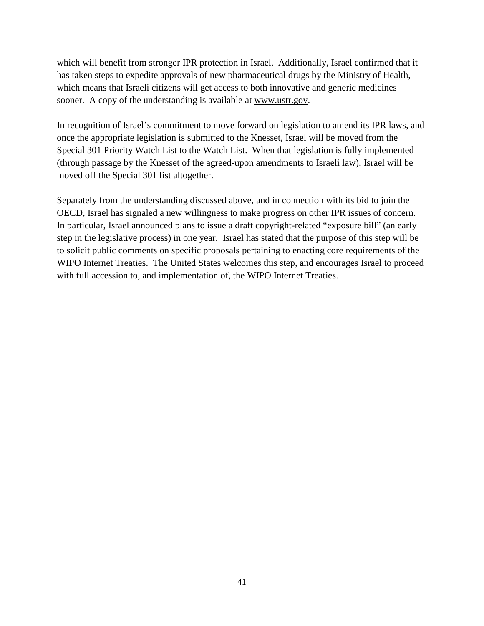which will benefit from stronger IPR protection in Israel. Additionally, Israel confirmed that it has taken steps to expedite approvals of new pharmaceutical drugs by the Ministry of Health, which means that Israeli citizens will get access to both innovative and generic medicines sooner. A copy of the understanding is available at [www.ustr.gov.](http://www.ustr.gov/)

In recognition of Israel's commitment to move forward on legislation to amend its IPR laws, and once the appropriate legislation is submitted to the Knesset, Israel will be moved from the Special 301 Priority Watch List to the Watch List. When that legislation is fully implemented (through passage by the Knesset of the agreed-upon amendments to Israeli law), Israel will be moved off the Special 301 list altogether.

Separately from the understanding discussed above, and in connection with its bid to join the OECD, Israel has signaled a new willingness to make progress on other IPR issues of concern. In particular, Israel announced plans to issue a draft copyright-related "exposure bill" (an early step in the legislative process) in one year. Israel has stated that the purpose of this step will be to solicit public comments on specific proposals pertaining to enacting core requirements of the WIPO Internet Treaties. The United States welcomes this step, and encourages Israel to proceed with full accession to, and implementation of, the WIPO Internet Treaties.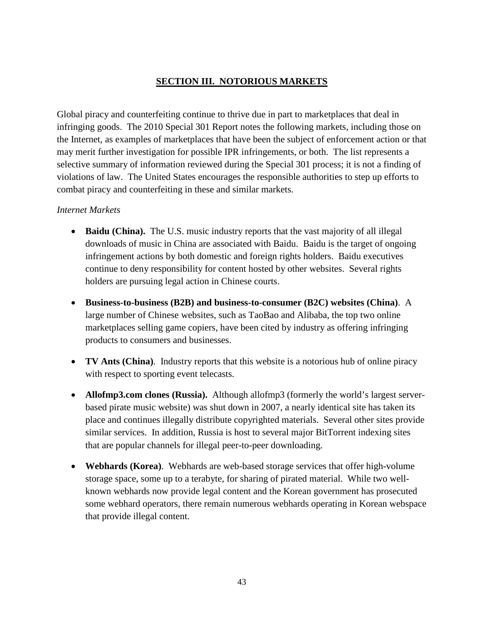# **SECTION III. NOTORIOUS MARKETS**

<span id="page-46-0"></span>Global piracy and counterfeiting continue to thrive due in part to marketplaces that deal in infringing goods. The 2010 Special 301 Report notes the following markets, including those on the Internet, as examples of marketplaces that have been the subject of enforcement action or that may merit further investigation for possible IPR infringements, or both. The list represents a selective summary of information reviewed during the Special 301 process; it is not a finding of violations of law. The United States encourages the responsible authorities to step up efforts to combat piracy and counterfeiting in these and similar markets.

## *Internet Markets*

- **Baidu (China).** The U.S. music industry reports that the vast majority of all illegal downloads of music in China are associated with Baidu. Baidu is the target of ongoing infringement actions by both domestic and foreign rights holders. Baidu executives continue to deny responsibility for content hosted by other websites. Several rights holders are pursuing legal action in Chinese courts.
- **Business-to-business (B2B) and business-to-consumer (B2C) websites (China)**.A large number of Chinese websites, such as TaoBao and Alibaba, the top two online marketplaces selling game copiers, have been cited by industry as offering infringing products to consumers and businesses.
- **TV Ants (China)**. Industry reports that this website is a notorious hub of online piracy with respect to sporting event telecasts.
- **Allofmp3.com clones (Russia).** Although allofmp3 (formerly the world's largest serverbased pirate music website) was shut down in 2007, a nearly identical site has taken its place and continues illegally distribute copyrighted materials. Several other sites provide similar services. In addition, Russia is host to several major BitTorrent indexing sites that are popular channels for illegal peer-to-peer downloading.
- **Webhards (Korea)**. Webhards are web-based storage services that offer high-volume storage space, some up to a terabyte, for sharing of pirated material. While two wellknown webhards now provide legal content and the Korean government has prosecuted some webhard operators, there remain numerous webhards operating in Korean webspace that provide illegal content.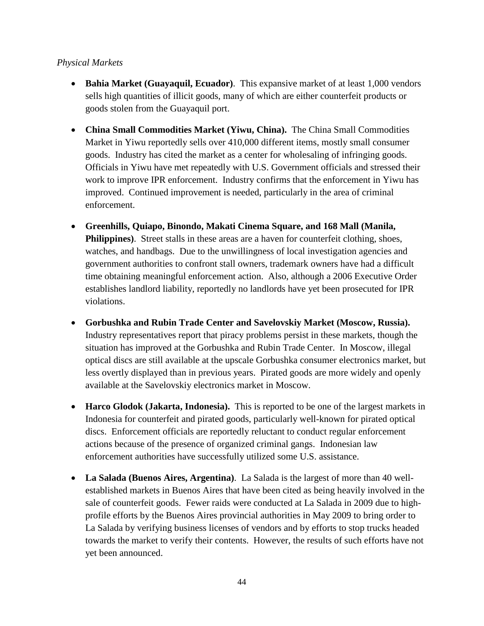# *Physical Markets*

- **Bahia Market (Guayaquil, Ecuador)**. This expansive market of at least 1,000 vendors sells high quantities of illicit goods, many of which are either counterfeit products or goods stolen from the Guayaquil port.
- **China Small Commodities Market (Yiwu, China).** The China Small Commodities Market in Yiwu reportedly sells over 410,000 different items, mostly small consumer goods. Industry has cited the market as a center for wholesaling of infringing goods. Officials in Yiwu have met repeatedly with U.S. Government officials and stressed their work to improve IPR enforcement. Industry confirms that the enforcement in Yiwu has improved. Continued improvement is needed, particularly in the area of criminal enforcement.
- **Greenhills, Quiapo, Binondo, Makati Cinema Square, and 168 Mall (Manila, Philippines)**. Street stalls in these areas are a haven for counterfeit clothing, shoes, watches, and handbags. Due to the unwillingness of local investigation agencies and government authorities to confront stall owners, trademark owners have had a difficult time obtaining meaningful enforcement action. Also, although a 2006 Executive Order establishes landlord liability, reportedly no landlords have yet been prosecuted for IPR violations.
- **Gorbushka and Rubin Trade Center and Savelovskiy Market (Moscow, Russia).** Industry representatives report that piracy problems persist in these markets, though the situation has improved at the Gorbushka and Rubin Trade Center. In Moscow, illegal optical discs are still available at the upscale Gorbushka consumer electronics market, but less overtly displayed than in previous years. Pirated goods are more widely and openly available at the Savelovskiy electronics market in Moscow.
- **Harco Glodok (Jakarta, Indonesia).** This is reported to be one of the largest markets in Indonesia for counterfeit and pirated goods, particularly well-known for pirated optical discs. Enforcement officials are reportedly reluctant to conduct regular enforcement actions because of the presence of organized criminal gangs. Indonesian law enforcement authorities have successfully utilized some U.S. assistance.
- **La Salada (Buenos Aires, Argentina)**. La Salada is the largest of more than 40 wellestablished markets in Buenos Aires that have been cited as being heavily involved in the sale of counterfeit goods. Fewer raids were conducted at La Salada in 2009 due to highprofile efforts by the Buenos Aires provincial authorities in May 2009 to bring order to La Salada by verifying business licenses of vendors and by efforts to stop trucks headed towards the market to verify their contents. However, the results of such efforts have not yet been announced.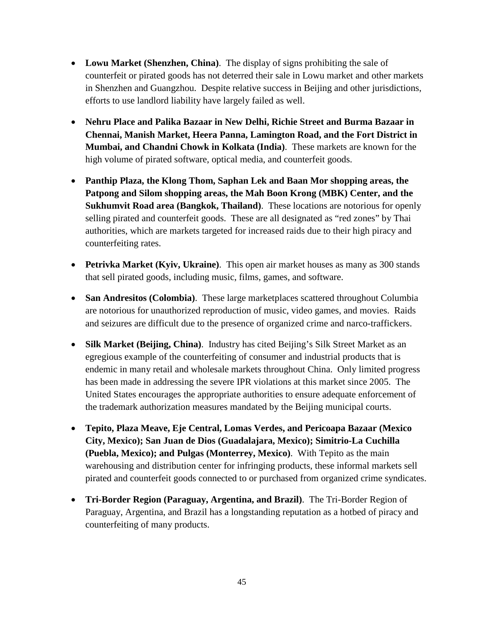- **Lowu Market (Shenzhen, China)**. The display of signs prohibiting the sale of counterfeit or pirated goods has not deterred their sale in Lowu market and other markets in Shenzhen and Guangzhou. Despite relative success in Beijing and other jurisdictions, efforts to use landlord liability have largely failed as well.
- **Nehru Place and Palika Bazaar in New Delhi, Richie Street and Burma Bazaar in Chennai, Manish Market, Heera Panna, Lamington Road, and the Fort District in Mumbai, and Chandni Chowk in Kolkata (India)**. These markets are known for the high volume of pirated software, optical media, and counterfeit goods.
- **Panthip Plaza, the Klong Thom, Saphan Lek and Baan Mor shopping areas, the Patpong and Silom shopping areas, the Mah Boon Krong (MBK) Center, and the Sukhumvit Road area (Bangkok, Thailand)**. These locations are notorious for openly selling pirated and counterfeit goods. These are all designated as "red zones" by Thai authorities, which are markets targeted for increased raids due to their high piracy and counterfeiting rates.
- **Petrivka Market (Kyiv, Ukraine)**. This open air market houses as many as 300 stands that sell pirated goods, including music, films, games, and software.
- **San Andresitos (Colombia)**. These large marketplaces scattered throughout Columbia are notorious for unauthorized reproduction of music, video games, and movies. Raids and seizures are difficult due to the presence of organized crime and narco-traffickers.
- **Silk Market (Beijing, China)**. Industry has cited Beijing's Silk Street Market as an egregious example of the counterfeiting of consumer and industrial products that is endemic in many retail and wholesale markets throughout China. Only limited progress has been made in addressing the severe IPR violations at this market since 2005. The United States encourages the appropriate authorities to ensure adequate enforcement of the trademark authorization measures mandated by the Beijing municipal courts.
- **Tepito, Plaza Meave, Eje Central, Lomas Verdes, and Pericoapa Bazaar (Mexico City, Mexico); San Juan de Dios (Guadalajara, Mexico); Simitrio-La Cuchilla (Puebla, Mexico); and Pulgas (Monterrey, Mexico)**. With Tepito as the main warehousing and distribution center for infringing products, these informal markets sell pirated and counterfeit goods connected to or purchased from organized crime syndicates.
- **Tri-Border Region (Paraguay, Argentina, and Brazil)**. The Tri-Border Region of Paraguay, Argentina, and Brazil has a longstanding reputation as a hotbed of piracy and counterfeiting of many products.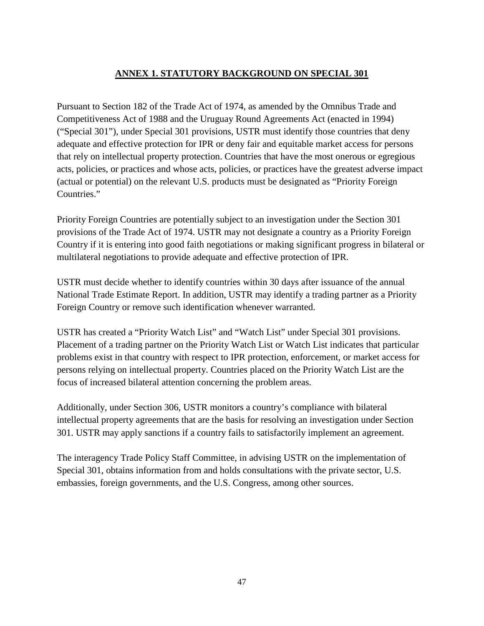# **ANNEX 1. STATUTORY BACKGROUND ON SPECIAL 301**

<span id="page-50-0"></span>Pursuant to Section 182 of the Trade Act of 1974, as amended by the Omnibus Trade and Competitiveness Act of 1988 and the Uruguay Round Agreements Act (enacted in 1994) ("Special 301"), under Special 301 provisions, USTR must identify those countries that deny adequate and effective protection for IPR or deny fair and equitable market access for persons that rely on intellectual property protection. Countries that have the most onerous or egregious acts, policies, or practices and whose acts, policies, or practices have the greatest adverse impact (actual or potential) on the relevant U.S. products must be designated as "Priority Foreign Countries."

Priority Foreign Countries are potentially subject to an investigation under the Section 301 provisions of the Trade Act of 1974. USTR may not designate a country as a Priority Foreign Country if it is entering into good faith negotiations or making significant progress in bilateral or multilateral negotiations to provide adequate and effective protection of IPR.

USTR must decide whether to identify countries within 30 days after issuance of the annual National Trade Estimate Report. In addition, USTR may identify a trading partner as a Priority Foreign Country or remove such identification whenever warranted.

USTR has created a "Priority Watch List" and "Watch List" under Special 301 provisions. Placement of a trading partner on the Priority Watch List or Watch List indicates that particular problems exist in that country with respect to IPR protection, enforcement, or market access for persons relying on intellectual property. Countries placed on the Priority Watch List are the focus of increased bilateral attention concerning the problem areas.

Additionally, under Section 306, USTR monitors a country's compliance with bilateral intellectual property agreements that are the basis for resolving an investigation under Section 301. USTR may apply sanctions if a country fails to satisfactorily implement an agreement.

The interagency Trade Policy Staff Committee, in advising USTR on the implementation of Special 301, obtains information from and holds consultations with the private sector, U.S. embassies, foreign governments, and the U.S. Congress, among other sources.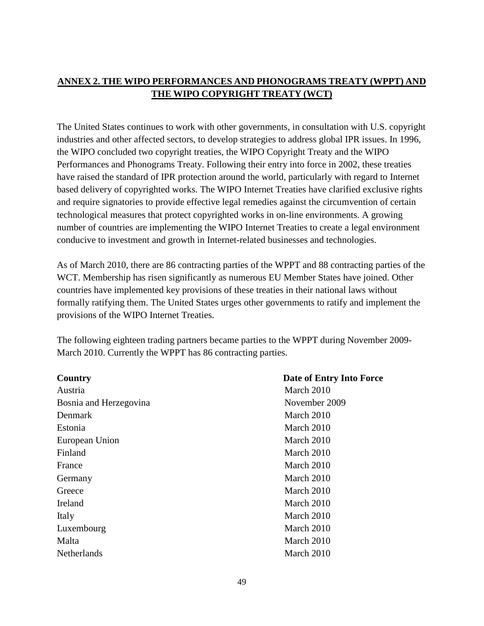# <span id="page-52-0"></span>**ANNEX 2. THE WIPO PERFORMANCES AND PHONOGRAMS TREATY (WPPT) AND THE WIPO COPYRIGHT TREATY (WCT)**

The United States continues to work with other governments, in consultation with U.S. copyright industries and other affected sectors, to develop strategies to address global IPR issues. In 1996, the WIPO concluded two copyright treaties, the WIPO Copyright Treaty and the WIPO Performances and Phonograms Treaty. Following their entry into force in 2002, these treaties have raised the standard of IPR protection around the world, particularly with regard to Internet based delivery of copyrighted works. The WIPO Internet Treaties have clarified exclusive rights and require signatories to provide effective legal remedies against the circumvention of certain technological measures that protect copyrighted works in on-line environments. A growing number of countries are implementing the WIPO Internet Treaties to create a legal environment conducive to investment and growth in Internet-related businesses and technologies.

As of March 2010, there are 86 contracting parties of the WPPT and 88 contracting parties of the WCT. Membership has risen significantly as numerous EU Member States have joined. Other countries have implemented key provisions of these treaties in their national laws without formally ratifying them. The United States urges other governments to ratify and implement the provisions of the WIPO Internet Treaties.

The following eighteen trading partners became parties to the WPPT during November 2009- March 2010. Currently the WPPT has 86 contracting parties.

| Country                | Date of Entry Into Force |
|------------------------|--------------------------|
| Austria                | March 2010               |
| Bosnia and Herzegovina | November 2009            |
| Denmark                | March 2010               |
| Estonia                | March 2010               |
| European Union         | March 2010               |
| Finland                | March 2010               |
| France                 | March 2010               |
| Germany                | March 2010               |
| Greece                 | March 2010               |
| Ireland                | March 2010               |
| Italy                  | March 2010               |
| Luxembourg             | March 2010               |
| Malta                  | March 2010               |
| <b>Netherlands</b>     | March 2010               |
|                        |                          |